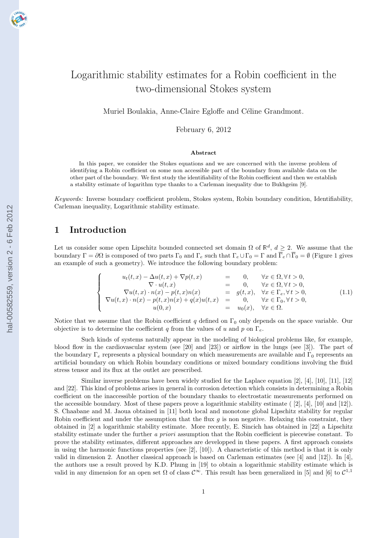

# Logarithmic stability estimates for a Robin coefficient in the two-dimensional Stokes system

Muriel Boulakia, Anne-Claire Egloffe and Céline Grandmont.

February 6, 2012

#### Abstract

In this paper, we consider the Stokes equations and we are concerned with the inverse problem of identifying a Robin coefficient on some non accessible part of the boundary from available data on the other part of the boundary. We first study the identifiability of the Robin coefficient and then we establish a stability estimate of logarithm type thanks to a Carleman inequality due to Bukhgeim [9].

Keywords: Inverse boundary coefficient problem, Stokes system, Robin boundary condition, Identifiability, Carleman inequality, Logarithmic stability estimate.

### 1 Introduction

Let us consider some open Lipschitz bounded connected set domain  $\Omega$  of  $\mathbb{R}^d$ ,  $d \geq 2$ . We assume that the boundary  $\Gamma = \partial\Omega$  is composed of two parts  $\Gamma_0$  and  $\Gamma_e$  such that  $\Gamma_e \cup \Gamma_0 = \Gamma$  and  $\overline{\Gamma}_e \cap \overline{\Gamma}_0 = \emptyset$  (Figure 1 gives an example of such a geometry). We introduce the following boundary problem:

$$
\begin{cases}\n u_t(t,x) - \Delta u(t,x) + \nabla p(t,x) &= 0, \quad \forall x \in \Omega, \forall t > 0, \\
 \nabla \cdot u(t,x) &= 0, \quad \forall x \in \Omega, \forall t > 0, \\
 \nabla u(t,x) \cdot n(x) - p(t,x)n(x) &= g(t,x), \quad \forall x \in \Gamma_e, \forall t > 0, \\
 \nabla u(t,x) \cdot n(x) - p(t,x)n(x) + q(x)u(t,x) &= 0, \quad \forall x \in \Gamma_0, \forall t > 0, \\
 u(0,x) &= u_0(x), \quad \forall x \in \Omega.\n\end{cases}\n\tag{1.1}
$$

Notice that we assume that the Robin coefficient q defined on  $\Gamma_0$  only depends on the space variable. Our objective is to determine the coefficient q from the values of u and p on  $\Gamma_e$ .

Such kinds of systems naturally appear in the modeling of biological problems like, for example, blood flow in the cardiovascular system (see [20] and [23]) or airflow in the lungs (see [3]). The part of the boundary  $\Gamma_e$  represents a physical boundary on which measurements are available and  $\Gamma_0$  represents an artificial boundary on which Robin boundary conditions or mixed boundary conditions involving the fluid stress tensor and its flux at the outlet are prescribed.

Similar inverse problems have been widely studied for the Laplace equation [2], [4], [10], [11], [12] and [22]. This kind of problems arises in general in corrosion detection which consists in determining a Robin coefficient on the inaccessible portion of the boundary thanks to electrostatic measurements performed on the accessible boundary. Most of these papers prove a logarithmic stability estimate ( [2], [4], [10] and [12]). S. Chaabane and M. Jaoua obtained in [11] both local and monotone global Lipschitz stability for regular Robin coefficient and under the assumption that the flux  $q$  is non negative. Relaxing this constraint, they obtained in [2] a logarithmic stability estimate. More recently, E. Sincich has obtained in [22] a Lipschitz stability estimate under the further a priori assumption that the Robin coefficient is piecewise constant. To prove the stability estimates, different approaches are developped in these papers. A first approach consists in using the harmonic functions properties (see [2], [10]). A characteristic of this method is that it is only valid in dimension 2. Another classical approach is based on Carleman estimates (see [4] and [12]). In [4], the authors use a result proved by K.D. Phung in [19] to obtain a logarithmic stability estimate which is valid in any dimension for an open set  $\Omega$  of class  $\mathcal{C}^{\infty}$ . This result has been generalized in [5] and [6] to  $\mathcal{C}^{1,1}$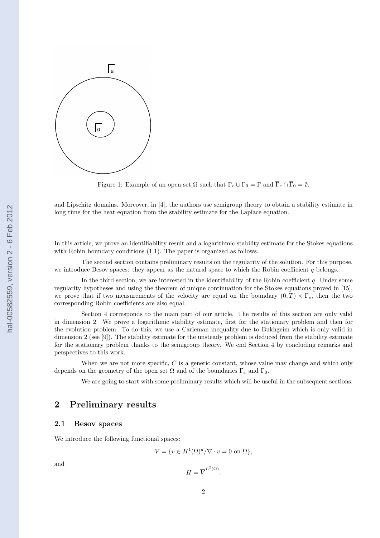

Figure 1: Example of an open set  $\Omega$  such that  $\Gamma_e \cup \Gamma_0 = \Gamma$  and  $\overline{\Gamma}_e \cap \overline{\Gamma}_0 = \emptyset$ .

and Lipschitz domains. Moreover, in [4], the authors use semigroup theory to obtain a stability estimate in long time for the heat equation from the stability estimate for the Laplace equation.

In this article, we prove an identifiability result and a logarithmic stability estimate for the Stokes equations with Robin boundary conditions  $(1.1)$ . The paper is organized as follows.

The second section contains preliminary results on the regularity of the solution. For this purpose, we introduce Besov spaces: they appear as the natural space to which the Robin coefficient  $q$  belongs.

In the third section, we are interested in the identifiability of the Robin coefficient q. Under some regularity hypotheses and using the theorem of unique continuation for the Stokes equations proved in [15], we prove that if two measurements of the velocity are equal on the boundary  $(0,T) \times \Gamma_e$ , then the two corresponding Robin coefficients are also equal.

Section 4 corresponds to the main part of our article. The results of this section are only valid in dimension 2. We prove a logarithmic stability estimate, first for the stationary problem and then for the evolution problem. To do this, we use a Carleman inequality due to Bukhgeim which is only valid in dimension 2 (see [9]). The stability estimate for the unsteady problem is deduced from the stability estimate for the stationary problem thanks to the semigroup theory. We end Section 4 by concluding remarks and perspectives to this work.

When we are not more specific,  $C$  is a generic constant, whose value may change and which only depends on the geometry of the open set  $\Omega$  and of the boundaries  $\Gamma_e$  and  $\Gamma_0$ .

We are going to start with some preliminary results which will be useful in the subsequent sections.

## 2 Preliminary results

### 2.1 Besov spaces

We introduce the following functional spaces:

$$
V = \{ v \in H^1(\Omega)^d / \nabla \cdot v = 0 \text{ on } \Omega \},
$$

and

$$
H=\overline{V}^{L^2(\Omega)}.
$$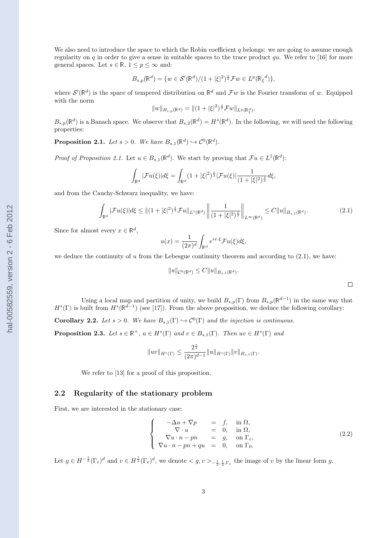We also need to introduce the space to which the Robin coefficient  $q$  belongs: we are going to assume enough regularity on q in order to give a sense in suitable spaces to the trace product qu. We refer to [16] for more general spaces. Let  $s \in \mathbb{R}$ ,  $1 \le p \le \infty$  and:

$$
B_{s,p}(\mathbb{R}^d) = \{ w \in \mathcal{S}'(\mathbb{R}^d) / (1 + |\xi|^2)^{\frac{s}{2}} \mathcal{F} w \in L^p(\mathbb{R}_{\xi}^d) \},
$$

where  $\mathcal{S}'(\mathbb{R}^d)$  is the space of tempered distribution on  $\mathbb{R}^d$  and  $\mathcal{F}w$  is the Fourier transform of w. Equipped with the norm

$$
||w||_{B_{s,p}(\mathbb{R}^d)} = ||(1+|\xi|^2)^{\frac{s}{2}} \mathcal{F} w||_{L^p(\mathbb{R}^d_\xi)},
$$

 $B_{s,p}(\mathbb{R}^d)$  is a Banach space. We observe that  $B_{s,2}(\mathbb{R}^d) = H^s(\mathbb{R}^d)$ . In the following, we will need the following properties:

**Proposition 2.1.** Let  $s > 0$ . We have  $B_{s,1}(\mathbb{R}^d) \hookrightarrow C^0(\mathbb{R}^d)$ .

*Proof of Proposition 2.1.* Let  $u \in B_{s,1}(\mathbb{R}^d)$ . We start by proving that  $\mathcal{F}u \in L^1(\mathbb{R}^d)$ :

$$
\int_{\mathbb{R}^d} |\mathcal{F}u(\xi)|d\xi = \int_{\mathbb{R}^d} (1+|\xi|^2)^{\frac{s}{2}} |\mathcal{F}u(\xi)| \frac{1}{(1+|\xi|^2)^{\frac{s}{2}}} d\xi,
$$

and from the Cauchy-Schwarz inequality, we have:

$$
\int_{\mathbb{R}^d} |\mathcal{F}u(\xi)|d\xi \le ||(1+|\xi|^2)^{\frac{s}{2}} \mathcal{F}u||_{L^1(\mathbb{R}^d)} \left\| \frac{1}{(1+|\xi|^2)^{\frac{s}{2}}} \right\|_{L^\infty(\mathbb{R}^d)} \le C \|u\|_{B_{s,1}(\mathbb{R}^d)}.
$$
\n(2.1)

Since for almost every  $x \in \mathbb{R}^d$ ,

$$
u(x) = \frac{1}{(2\pi)^d} \int_{\mathbb{R}^d} e^{ix\cdot\xi} \mathcal{F}u(\xi) d\xi,
$$

we deduce the continuity of u from the Lebesgue continuity theorem and according to  $(2.1)$ , we have:

$$
\|u\|_{\mathcal{C}^0(\mathbb{R}^d)}\leq C\|u\|_{B_{s,1}(\mathbb{R}^d)}.
$$

Using a local map and partition of unity, we build  $B_{s,p}(\Gamma)$  from  $B_{s,p}(\mathbb{R}^{d-1})$  in the same way that  $H^{s}(\Gamma)$  is built from  $H^{s}(\mathbb{R}^{d-1})$  (see [17]). From the above proposition, we deduce the following corollary:

**Corollary 2.2.** Let  $s > 0$ . We have  $B_{s,1}(\Gamma) \hookrightarrow C^0(\Gamma)$  and the injection is continuous. **Proposition 2.3.** Let  $s \in \mathbb{R}^+$ ,  $u \in H^s(\Gamma)$  and  $v \in B_{s,1}(\Gamma)$ . Then  $uv \in H^s(\Gamma)$  and

$$
\|uv\|_{H^s(\Gamma)}\leq \frac{2^{\frac{s}{2}}}{(2\pi)^{d-1}}\|u\|_{H^s(\Gamma)}\|v\|_{B_{s,1}(\Gamma)}.
$$

We refer to [13] for a proof of this proposition.

### 2.2 Regularity of the stationary problem

First, we are interested in the stationary case:

$$
\begin{cases}\n-\Delta u + \nabla p &= f, \text{ in } \Omega, \\
\nabla \cdot u &= 0, \text{ in } \Omega, \\
\nabla u \cdot n - pn &= g, \text{ on } \Gamma_e, \\
\nabla u \cdot n - pn + qu &= 0, \text{ on } \Gamma_0.\n\end{cases}
$$
\n(2.2)

Let  $g \in H^{-\frac{1}{2}}(\Gamma_e)^d$  and  $v \in H^{\frac{1}{2}}(\Gamma_e)^d$ , we denote  $\langle g, v \rangle_{-\frac{1}{2},\frac{1}{2},\Gamma_e}$  the image of v by the linear form g.

 $\Box$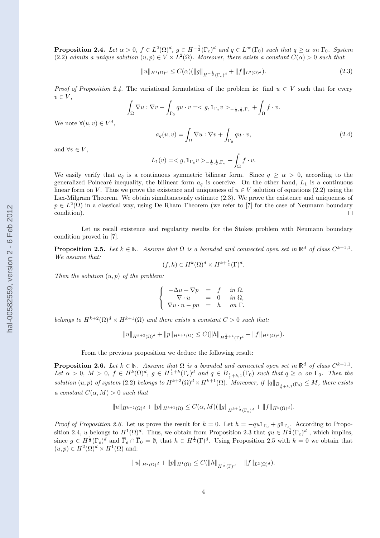**Proposition 2.4.** Let  $\alpha > 0$ ,  $f \in L^2(\Omega)^d$ ,  $g \in H^{-\frac{1}{2}}(\Gamma_e)^d$  and  $q \in L^{\infty}(\Gamma_0)$  such that  $q \geq \alpha$  on  $\Gamma_0$ . System (2.2) admits a unique solution  $(u, p) \in V \times L^2(\Omega)$ . Moreover, there exists a constant  $C(\alpha) > 0$  such that

$$
||u||_{H^1(\Omega)^d} \le C(\alpha) (||g||_{H^{-\frac{1}{2}}(\Gamma_e)^d} + ||f||_{L^2(\Omega)^d}).
$$
\n(2.3)

Proof of Proposition 2.4. The variational formulation of the problem is: find  $u \in V$  such that for every  $v \in V$ ,

$$
\int_{\Omega} \nabla u : \nabla v + \int_{\Gamma_0} q u \cdot v = \langle g, \mathbb{1}_{\Gamma_e} v \rangle_{-\frac{1}{2}, \frac{1}{2}, \Gamma_e} + \int_{\Omega} f \cdot v.
$$

We note  $\forall (u, v) \in V^d$ ,

$$
a_q(u,v) = \int_{\Omega} \nabla u : \nabla v + \int_{\Gamma_0} qu \cdot v,
$$
\n(2.4)

and  $\forall v \in V$ ,

$$
L_1(v) = \langle g, \mathbb{1}_{\Gamma_e} v \rangle_{-\frac{1}{2},\frac{1}{2},\Gamma_e} + \int_{\Omega} f \cdot v.
$$

We easily verify that  $a_q$  is a continuous symmetric bilinear form. Since  $q \ge \alpha > 0$ , according to the generalized Poincaré inequality, the bilinear form  $a<sub>q</sub>$  is coercive. On the other hand,  $L<sub>1</sub>$  is a continuous linear form on V. Thus we prove the existence and uniqueness of  $u \in V$  solution of equations (2.2) using the Lax-Milgram Theorem. We obtain simultaneously estimate (2.3). We prove the existence and uniqueness of  $p \in L^2(\Omega)$  in a classical way, using De Rham Theorem (we refer to [7] for the case of Neumann boundary condition).  $\Box$ 

Let us recall existence and regularity results for the Stokes problem with Neumann boundary condition proved in [7].

**Proposition 2.5.** Let  $k \in \mathbb{N}$ . Assume that  $\Omega$  is a bounded and connected open set in  $\mathbb{R}^d$  of class  $C^{k+1,1}$ . We assume that:

$$
(f,h) \in H^k(\Omega)^d \times H^{k+\frac{1}{2}}(\Gamma)^d.
$$

Then the solution  $(u, p)$  of the problem:

$$
\left\{\begin{array}{rcl}\n-\Delta u + \nabla p &=& f & in \ \Omega, \\
\nabla \cdot u &=& 0 & in \ \Omega, \\
\nabla u \cdot n - pn &=& h & on \ \Gamma.\n\end{array}\right.
$$

belongs to  $H^{k+2}(\Omega)^d \times H^{k+1}(\Omega)$  and there exists a constant  $C > 0$  such that:

 $||u||_{H^{k+2}(\Omega)^d} + ||p||_{H^{k+1}(\Omega)} \leq C(||h||_{H^{\frac{1}{2}+k}(\Gamma)^d} + ||f||_{H^k(\Omega)^d}).$ 

From the previous proposition we deduce the following result:

**Proposition 2.6.** Let  $k \in \mathbb{N}$ . Assume that  $\Omega$  is a bounded and connected open set in  $\mathbb{R}^d$  of class  $C^{k+1,1}$ . Let  $\alpha > 0$ ,  $M > 0$ ,  $f \in H^k(\Omega)^d$ ,  $g \in H^{\frac{1}{2}+k}(\Gamma_e)^d$  and  $q \in B_{\frac{1}{2}+k,1}(\Gamma_0)$  such that  $q \ge \alpha$  on  $\Gamma_0$ . Then the solution  $(u, p)$  of system (2.2) belongs to  $H^{k+2}(\Omega)^d \times H^{k+1}(\Omega)$ . Moreover, if  $||q||_{B_{\frac{1}{2}+k,1}(\Gamma_0)} \leq M$ , there exists a constant  $C(\alpha, M) > 0$  such that

$$
||u||_{H^{k+2}(\Omega)^d} + ||p||_{H^{k+1}(\Omega)} \leq C(\alpha, M)(||g||_{H^{k+\frac{1}{2}}(\Gamma_e)^d} + ||f||_{H^k(\Omega)^d}).
$$

*Proof of Proposition 2.6.* Let us prove the result for  $k = 0$ . Let  $h = -qu1_{\Gamma_0} + g1_{\Gamma_e}$ . According to Proposition 2.4, u belongs to  $H^1(\Omega)^d$ . Thus, we obtain from Proposition 2.3 that  $qu \in H^{\frac{1}{2}}(\Gamma_e)^d$ , which implies, since  $g \in H^{\frac{1}{2}}(\Gamma_e)^d$  and  $\overline{\Gamma}_e \cap \overline{\Gamma}_0 = \emptyset$ , that  $h \in H^{\frac{1}{2}}(\Gamma)^d$ . Using Proposition 2.5 with  $k = 0$  we obtain that  $(u, p) \in H^2(\Omega)^d \times H^1(\Omega)$  and:

$$
||u||_{H^2(\Omega)^d} + ||p||_{H^1(\Omega)} \leq C(||h||_{H^{\frac{1}{2}}(\Gamma)^d} + ||f||_{L^2(\Omega)^d}).
$$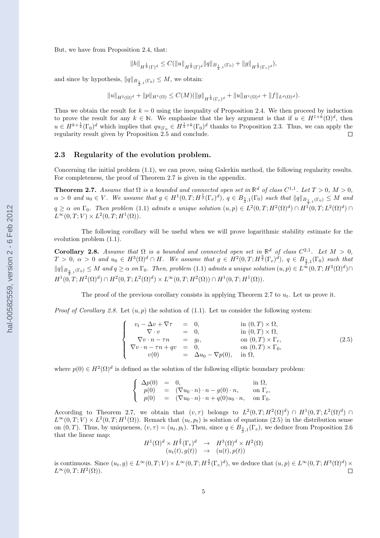But, we have from Proposition 2.4, that:

$$
||h||_{H^{\frac{1}{2}}(\Gamma)^d} \leq C(||u||_{H^{\frac{1}{2}}(\Gamma)^d} ||q||_{B_{\frac{1}{2},1}(\Gamma_0)} + ||g||_{H^{\frac{1}{2}}(\Gamma_e)^d}),
$$

and since by hypothesis,  $||q||_{B_{\frac{1}{2},1}(\Gamma_0)} \leq M$ , we obtain:

$$
||u||_{H^2(\Omega)^d} + ||p||_{H^1(\Omega)} \leq C(M) (||g||_{H^{\frac{1}{2}}(\Gamma_e)^d} + ||u||_{H^1(\Omega)^d} + ||f||_{L^d(\Omega)^d}).
$$

Thus we obtain the result for  $k = 0$  using the inequality of Proposition 2.4. We then proceed by induction to prove the result for any  $k \in \mathbb{N}$ . We emphasize that the key argument is that if  $u \in H^{1+k}(\Omega)^d$ , then  $u \in H^{k+\frac{1}{2}}(\Gamma_0)^d$  which implies that  $qu_{|\Gamma_0} \in H^{\frac{1}{2}+k}(\Gamma_0)^d$  thanks to Proposition 2.3. Thus, we can apply the regularity result given by Proposition 2.5 and conclude.  $\Box$ 

### 2.3 Regularity of the evolution problem.

Concerning the initial problem (1.1), we can prove, using Galerkin method, the following regularity results. For completeness, the proof of Theorem 2.7 is given in the appendix.

**Theorem 2.7.** Assume that  $\Omega$  is a bounded and connected open set in  $\mathbb{R}^d$  of class  $C^{1,1}$ . Let  $T > 0$ ,  $M > 0$ ,  $\alpha > 0$  and  $u_0 \in V$ . We assume that  $g \in H^1(0,T; H^{\frac{1}{2}}(\Gamma_e)^d)$ ,  $q \in B_{\frac{1}{2},1}(\Gamma_0)$  such that  $||q||_{B_{\frac{1}{2},1}(\Gamma_0)} \leq M$  and  $q \ge \alpha$  on  $\Gamma_0$ . Then problem (1.1) admits a unique solution  $(u, p) \in L^2(0,T; H^2(\Omega)^d) \cap H^1(0,T; L^2(\Omega)^d) \cap$  $L^{\infty}(0,T;V) \times L^2(0,T;H^1(\Omega)).$ 

The following corollary will be useful when we will prove logarithmic stability estimate for the evolution problem (1.1).

**Corollary 2.8.** Assume that  $\Omega$  is a bounded and connected open set in  $\mathbb{R}^d$  of class  $C^{2,1}$ . Let  $M > 0$ ,  $T > 0$ ,  $\alpha > 0$  and  $u_0 \in H^3(\Omega)^d \cap H$ . We assume that  $g \in H^2(0,T; H^{\frac{3}{2}}(\Gamma_e)^d)$ ,  $q \in B_{\frac{3}{2},1}(\Gamma_0)$  such that  $||q||_{B_{\frac{3}{2},1}(\Gamma_0)} \leq M$  and  $q \geq \alpha$  on  $\Gamma_0$ . Then, problem (1.1) admits a unique solution  $(u, p) \in L^{\infty}(0,T; H^3(\Omega)^d) \cap$  $H^1(0,T;H^2(\Omega)^d) \cap H^2(0,T;L^2(\Omega)^d) \times L^{\infty}(0,T;H^2(\Omega)) \cap H^1(0,T;H^1(\Omega)).$ 

The proof of the previous corollary consists in applying Theorem 2.7 to  $u_t$ . Let us prove it.

*Proof of Corollary 2.8.* Let  $(u, p)$  the solution of (1.1). Let us consider the following system:

$$
\begin{cases}\n v_t - \Delta v + \nabla \tau &= 0, & \text{in } (0, T) \times \Omega, \\
 \nabla \cdot v &= 0, & \text{in } (0, T) \times \Omega, \\
 \nabla v \cdot n - \tau n &= g_t, & \text{on } (0, T) \times \Gamma_e, \\
 \nabla v \cdot n - \tau n + qv &= 0, & \text{on } (0, T) \times \Gamma_0, \\
 v(0) &= \Delta u_0 - \nabla p(0), & \text{in } \Omega,\n\end{cases}
$$
\n(2.5)

where  $p(0) \in H^2(\Omega)^d$  is defined as the solution of the following elliptic boundary problem:

$$
\label{eq:2} \left\{ \begin{array}{rcl} \Delta p(0) &=& 0, & \text{in }\Omega,\\ p(0) &=& (\nabla u_0\cdot n)\cdot n - g(0)\cdot n, & \text{on }\Gamma_e,\\ p(0) &=& (\nabla u_0\cdot n)\cdot n + q(0)u_0\cdot n, & \text{on }\Gamma_0. \end{array} \right.
$$

According to Theorem 2.7, we obtain that  $(v, \tau)$  belongs to  $L^2(0,T;H^2(\Omega)^d) \cap H^1(0,T;L^2(\Omega)^d) \cap$  $L^{\infty}(0,T;V) \times L^2(0,T;H^1(\Omega))$ . Remark that  $(u_t, p_t)$  is solution of equations (2.5) in the distribution sense on  $(0, T)$ . Thus, by uniqueness,  $(v, \tau) = (u_t, p_t)$ . Then, since  $q \in B_{\frac{3}{2},1}(\Gamma_e)$ , we deduce from Proposition 2.6 that the linear map:

$$
H^1(\Omega)^d \times H^{\frac{3}{2}}(\Gamma_e)^d \rightarrow H^3(\Omega)^d \times H^2(\Omega)
$$
  

$$
(u_t(t), g(t)) \rightarrow (u(t), p(t))
$$

is continuous. Since  $(u_t, g) \in L^{\infty}(0,T; V) \times L^{\infty}(0,T; H^{\frac{3}{2}}(\Gamma_e)^d)$ , we deduce that  $(u, p) \in L^{\infty}(0,T; H^3(\Omega)^d) \times$  $L^{\infty}(0,T;H^2(\Omega)).$  $\Box$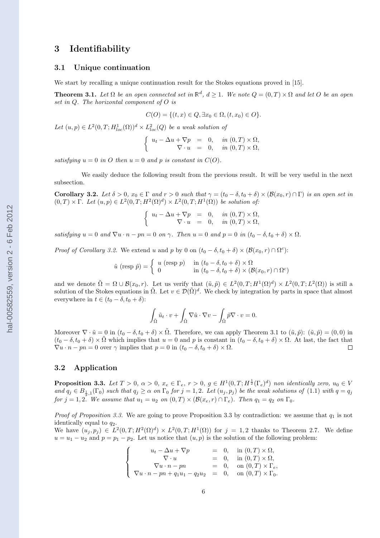### 3 Identifiability

### 3.1 Unique continuation

We start by recalling a unique continuation result for the Stokes equations proved in [15].

**Theorem 3.1.** Let  $\Omega$  be an open connected set in  $\mathbb{R}^d$ ,  $d \geq 1$ . We note  $Q = (0, T) \times \Omega$  and let O be an open set in  $Q$ . The horizontal component of  $O$  is

$$
C(O) = \{(t, x) \in Q, \exists x_0 \in \Omega, (t, x_0) \in O\}.
$$

Let  $(u, p) \in L^2(0, T; H^1_{loc}(\Omega))^d \times L^2_{loc}(Q)$  be a weak solution of

$$
\begin{cases}\n u_t - \Delta u + \nabla p = 0, & \text{in } (0, T) \times \Omega, \\
 \nabla \cdot u = 0, & \text{in } (0, T) \times \Omega,\n\end{cases}
$$

satisfying  $u = 0$  in O then  $u = 0$  and p is constant in  $C(O)$ .

We easily deduce the following result from the previous result. It will be very useful in the next subsection.

**Corollary 3.2.** Let  $\delta > 0$ ,  $x_0 \in \Gamma$  and  $r > 0$  such that  $\gamma = (t_0 - \delta, t_0 + \delta) \times (\mathcal{B}(x_0, r) \cap \Gamma)$  is an open set in  $(0,T) \times \Gamma$ . Let  $(u,p) \in L^2(0,T;H^2(\Omega)^d) \times L^2(0,T;H^1(\Omega))$  be solution of:

$$
\begin{cases}\n u_t - \Delta u + \nabla p = 0, & \text{in } (0, T) \times \Omega, \\
 \nabla \cdot u = 0, & \text{in } (0, T) \times \Omega,\n\end{cases}
$$

satisfying  $u = 0$  and  $\nabla u \cdot n - pn = 0$  on  $\gamma$ . Then  $u = 0$  and  $p = 0$  in  $(t_0 - \delta, t_0 + \delta) \times \Omega$ .

*Proof of Corollary 3.2.* We extend u and p by 0 on  $(t_0 - \delta, t_0 + \delta) \times (\mathcal{B}(x_0, r) \cap \Omega^c)$ :

$$
\tilde{u} \text{ (resp } \tilde{p}) = \begin{cases} u \text{ (resp } p) & \text{ in } (t_0 - \delta, t_0 + \delta) \times \Omega \\ 0 & \text{ in } (t_0 - \delta, t_0 + \delta) \times (\mathcal{B}(x_0, r) \cap \Omega^c) \end{cases}
$$

and we denote  $\tilde{\Omega} = \Omega \cup \mathcal{B}(x_0, r)$ . Let us verify that  $(\tilde{u}, \tilde{p}) \in L^2(0,T; H^1(\Omega)^d) \times L^2(0,T; L^2(\Omega))$  is still a solution of the Stokes equations in  $\tilde{\Omega}$ . Let  $v \in \mathcal{D}(\tilde{\Omega})^d$ . We check by integration by parts in space that almost everywhere in  $t \in (t_0 - \delta, t_0 + \delta)$ :

$$
\int_{\tilde{\Omega}} \tilde{u}_t \cdot v + \int_{\tilde{\Omega}} \nabla \tilde{u} \cdot \nabla v - \int_{\tilde{\Omega}} \tilde{p} \nabla \cdot v = 0.
$$

Moreover  $\nabla \cdot \tilde{u} = 0$  in  $(t_0 - \delta, t_0 + \delta) \times \tilde{\Omega}$ . Therefore, we can apply Theorem 3.1 to  $(\tilde{u}, \tilde{p})$ :  $(\tilde{u}, \tilde{p}) = (0, 0)$  in  $(t_0 - \delta, t_0 + \delta) \times \Omega$  which implies that  $u = 0$  and p is constant in  $(t_0 - \delta, t_0 + \delta) \times \Omega$ . At last, the fact that  $\nabla u \cdot n - pn = 0$  over  $\gamma$  implies that  $p = 0$  in  $(t_0 - \delta, t_0 + \delta) \times \Omega$ .  $\Box$ 

### 3.2 Application

**Proposition 3.3.** Let  $T > 0$ ,  $\alpha > 0$ ,  $x_e \in \Gamma_e$ ,  $r > 0$ ,  $g \in H^1(0,T;H^{\frac{1}{2}}(\Gamma_e)^d)$  non identically zero,  $u_0 \in V$ and  $q_j \in B_{\frac{1}{2},1}(\Gamma_0)$  such that  $q_j \geq \alpha$  on  $\Gamma_0$  for  $j = 1,2$ . Let  $(u_j, p_j)$  be the weak solutions of  $(1.1)$  with  $q = q_j$ for  $j = 1, 2$ . We assume that  $u_1 = u_2$  on  $(0, T) \times (\mathcal{B}(x_e, r) \cap \Gamma_e)$ . Then  $q_1 = q_2$  on  $\Gamma_0$ .

*Proof of Proposition 3.3.* We are going to prove Proposition 3.3 by contradiction: we assume that  $q_1$  is not identically equal to  $q_2$ .

We have  $(u_j, p_j) \in L^2(0,T; H^2(\Omega)^d) \times L^2(0,T; H^1(\Omega))$  for  $j = 1,2$  thanks to Theorem 2.7. We define  $u = u_1 - u_2$  and  $p = p_1 - p_2$ . Let us notice that  $(u, p)$  is the solution of the following problem:

$$
\begin{cases}\n u_t - \Delta u + \nabla p &= 0, \text{ in } (0, T) \times \Omega, \\
 \nabla \cdot u &= 0, \text{ in } (0, T) \times \Omega, \\
 \nabla u \cdot n - pn &= 0, \text{ on } (0, T) \times \Gamma_e, \\
 \nabla u \cdot n - pn + q_1 u_1 - q_2 u_2 &= 0, \text{ on } (0, T) \times \Gamma_0.\n\end{cases}
$$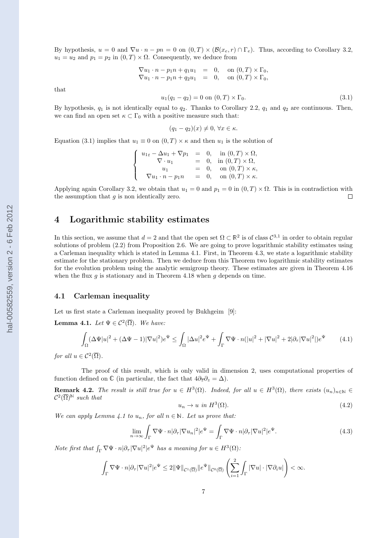By hypothesis,  $u = 0$  and  $\nabla u \cdot n - pn = 0$  on  $(0, T) \times (\mathcal{B}(x_e, r) \cap \Gamma_e)$ . Thus, according to Corollary 3.2,  $u_1 = u_2$  and  $p_1 = p_2$  in  $(0, T) \times \Omega$ . Consequently, we deduce from

$$
\nabla u_1 \cdot n - p_1 n + q_1 u_1 = 0, \text{ on } (0, T) \times \Gamma_0,
$$
  
\n
$$
\nabla u_1 \cdot n - p_1 n + q_2 u_1 = 0, \text{ on } (0, T) \times \Gamma_0,
$$

that

$$
u_1(q_1 - q_2) = 0 \text{ on } (0, T) \times \Gamma_0. \tag{3.1}
$$

By hypothesis,  $q_1$  is not identically equal to  $q_2$ . Thanks to Corollary 2.2,  $q_1$  and  $q_2$  are continuous. Then, we can find an open set  $\kappa \subset \Gamma_0$  with a positive measure such that:

$$
(q_1 - q_2)(x) \neq 0, \forall x \in \kappa.
$$

Equation (3.1) implies that  $u_1 \equiv 0$  on  $(0, T) \times \kappa$  and then  $u_1$  is the solution of

$$
\begin{cases}\nu_{1t} - \Delta u_1 + \nabla p_1 = 0, & \text{in } (0, T) \times \Omega, \\
\nabla \cdot u_1 = 0, & \text{in } (0, T) \times \Omega, \\
u_1 = 0, & \text{on } (0, T) \times \kappa, \\
\nabla u_1 \cdot n - p_1 n = 0, & \text{on } (0, T) \times \kappa.\n\end{cases}
$$

Applying again Corollary 3.2, we obtain that  $u_1 = 0$  and  $p_1 = 0$  in  $(0, T) \times \Omega$ . This is in contradiction with the assumption that  $g$  is non identically zero.  $\Box$ 

### 4 Logarithmic stability estimates

In this section, we assume that  $d=2$  and that the open set  $\Omega \subset \mathbb{R}^2$  is of class  $\mathcal{C}^{3,1}$  in order to obtain regular solutions of problem (2.2) from Proposition 2.6. We are going to prove logarithmic stability estimates using a Carleman inequality which is stated in Lemma 4.1. First, in Theorem 4.3, we state a logarithmic stability estimate for the stationary problem. Then we deduce from this Theorem two logarithmic stability estimates for the evolution problem using the analytic semigroup theory. These estimates are given in Theorem 4.16 when the flux  $g$  is stationary and in Theorem 4.18 when  $g$  depends on time.

### 4.1 Carleman inequality

Let us first state a Carleman inequality proved by Bukhgeim [9]:

**Lemma 4.1.** Let  $\Psi \in C^2(\overline{\Omega})$ . We have:

$$
\int_{\Omega} (\Delta \Psi |u|^2 + (\Delta \Psi - 1) |\nabla u|^2) e^{\Psi} \le \int_{\Omega} |\Delta u|^2 e^{\Psi} + \int_{\Gamma} \nabla \Psi \cdot n (|u|^2 + |\nabla u|^2 + 2 |\partial_{\tau} |\nabla u|^2) e^{\Psi} \tag{4.1}
$$

for all  $u \in C^2(\overline{\Omega})$ .

The proof of this result, which is only valid in dimension 2, uses computational properties of function defined on  $\mathbb C$  (in particular, the fact that  $4\partial_{\overline z}\partial_z = \Delta$ ).

**Remark 4.2.** The result is still true for  $u \in H^3(\Omega)$ . Indeed, for all  $u \in H^3(\Omega)$ , there exists  $(u_n)_{n\in\mathbb{N}} \in$  $\mathcal{C}^2(\overline{\Omega})^{\mathbb{N}}$  such that

$$
u_n \to u \text{ in } H^3(\Omega). \tag{4.2}
$$

We can apply Lemma 4.1 to  $u_n$ , for all  $n \in \mathbb{N}$ . Let us prove that:

$$
\lim_{n \to \infty} \int_{\Gamma} \nabla \Psi \cdot n |\partial_{\tau} |\nabla u_n|^2 |e^{\Psi} = \int_{\Gamma} \nabla \Psi \cdot n |\partial_{\tau} |\nabla u|^2 |e^{\Psi}.
$$
\n(4.3)

Note first that  $\int_{\Gamma} \nabla \Psi \cdot n |\partial_{\tau}| \nabla u|^2 |e^{\Psi}|$  has a meaning for  $u \in H^3(\Omega)$ :

$$
\int_{\Gamma} \nabla \Psi \cdot n |\partial_{\tau} |\nabla u|^2 |e^{\Psi} \leq 2 \|\Psi\|_{\mathcal{C}^1(\overline{\Omega})} \|e^{\Psi}\|_{\mathcal{C}^0(\overline{\Omega})} \left(\sum_{i=1}^2 \int_{\Gamma} |\nabla u| \cdot |\nabla \partial_i u|\right) < \infty.
$$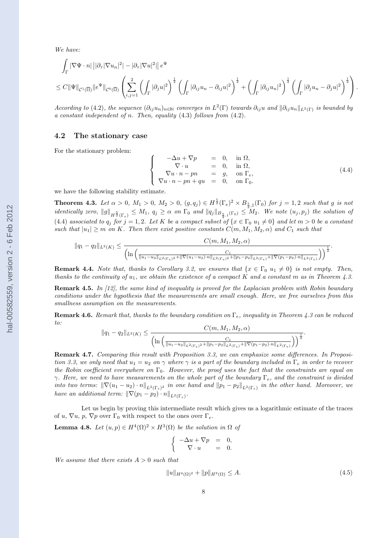We have:

$$
\int_{\Gamma} |\nabla \Psi \cdot n| \left| |\partial_{\tau} |\nabla u_n|^2 - |\partial_{\tau} |\nabla u|^2 \right| \right| e^{\Psi}
$$
\n
$$
\leq C \|\Psi\|_{\mathcal{C}^1(\overline{\Omega})} \|e^{\Psi}\|_{\mathcal{C}^0(\overline{\Omega})} \left( \sum_{i,j=1}^2 \left( \int_{\Gamma} |\partial_j u|^2 \right)^{\frac{1}{2}} \left( \int_{\Gamma} |\partial_{ij} u_n - \partial_{ij} u|^2 \right)^{\frac{1}{2}} + \left( \int_{\Gamma} |\partial_{ij} u_n|^2 \right)^{\frac{1}{2}} \left( \int_{\Gamma} |\partial_j u_n - \partial_j u|^2 \right)^{\frac{1}{2}} \right).
$$

According to (4.2), the sequence  $(\partial_{ij}u_n)_{n\in\mathbb{N}}$  converges in  $L^2(\Gamma)$  towards  $\partial_{ij}u$  and  $\|\partial_{ij}u_n\|_{L^2(\Gamma)}$  is bounded by a constant independent of n. Then, equality  $(4.3)$  follows from  $(4.2)$ .

### 4.2 The stationary case

For the stationary problem:

$$
\begin{cases}\n-\Delta u + \nabla p &= 0, \text{ in } \Omega, \\
\nabla \cdot u &= 0, \text{ in } \Omega, \\
\nabla u \cdot n - pn &= g, \text{ on } \Gamma_e, \\
\nabla u \cdot n - pn + qu &= 0, \text{ on } \Gamma_0.\n\end{cases}
$$
\n(4.4)

we have the following stability estimate.

**Theorem 4.3.** Let  $\alpha > 0$ ,  $M_1 > 0$ ,  $M_2 > 0$ ,  $(g, q_j) \in H^{\frac{5}{2}}(\Gamma_e)^2 \times B_{\frac{5}{2},1}(\Gamma_0)$  for  $j = 1,2$  such that g is not identically zero,  $||g||_{H^{\frac{5}{2}}(\Gamma_e)} \leq M_1$ ,  $q_j \geq \alpha$  on  $\Gamma_0$  and  $||q_j||_{B_{\frac{5}{2},1}(\Gamma_0)} \leq M_2$ . We note  $(u_j, p_j)$  the solution of (4.4) associated to  $q_j$  for  $j = 1, 2$ . Let K be a compact subset of  $\{x \in \Gamma_0 | u_1 \neq 0\}$  and let  $m > 0$  be a constant such that  $|u_1| \geq m$  on K. Then there exist positive constants  $C(m, M_1, M_2, \alpha)$  and  $C_1$  such that

$$
||q_{1}-q_{2}||_{L^{2}(K)} \leq \frac{C(m, M_{1}, M_{2}, \alpha)}{\left(\ln\left(\frac{1}{||u_{1}-u_{2}||_{L^{2}(\Gamma_{e})^{2}}+||\nabla(u_{1}-u_{2})\cdot n||_{L^{2}(\Gamma_{e})^{2}}+||p_{1}-p_{2}||_{L^{2}(\Gamma_{e})}+||\nabla(p_{1}-p_{2})\cdot n||_{L^{2}(\Gamma_{e})}}\right)\right)^{\frac{1}{2}}}.
$$

**Remark 4.4.** Note that, thanks to Corollary 3.2, we ensures that  $\{x \in \Gamma_0 \mid u_1 \neq 0\}$  is not empty. Then, thanks to the continuity of  $u_1$ , we obtain the existence of a compact K and a constant m as in Theorem 4.3.

**Remark 4.5.** In [12], the same kind of inequality is proved for the Laplacian problem with Robin boundary conditions under the hypothesis that the measurements are small enough. Here, we free ourselves from this smallness assumption on the measurements.

**Remark 4.6.** Remark that, thanks to the boundary condition on  $\Gamma_e$ , inequality in Theorem 4.3 can be reduced to:

$$
||q_1 - q_2||_{L^2(K)} \le \frac{C(m, M_1, M_2, \alpha)}{\left(\ln\left(\frac{C_1}{||u_1 - u_2||_{L^2(\Gamma_e)}^2 + ||p_1 - p_2||_{L^2(\Gamma_e)} + ||\nabla(p_1 - p_2) \cdot n||_{L^2(\Gamma_e)}}\right)\right)^{\frac{1}{2}}}.
$$

Remark 4.7. Comparing this result with Proposition 3.3, we can emphasize some differences. In Proposition 3.3, we only need that  $u_1 = u_2$  on  $\gamma$  where  $\gamma$  is a part of the boundary included in  $\Gamma_e$  in order to recover the Robin coefficient everywhere on  $\Gamma_0$ . However, the proof uses the fact that the constraints are equal on  $\gamma$ . Here, we need to have measurements on the whole part of the boundary  $\Gamma_e$ , and the constraint is divided into two terms:  $\|\nabla(u_1 - u_2) \cdot n\|_{L^2(\Gamma_e)^2}$  in one hand and  $\|p_1 - p_2\|_{L^2(\Gamma_e)}$  in the other hand. Moreover, we have an additional term:  $\|\nabla(p_1 - p_2) \cdot n\|_{L^2(\Gamma_e)}$ .

Let us begin by proving this intermediate result which gives us a logarithmic estimate of the traces of u,  $\nabla u$ , p,  $\nabla p$  over  $\Gamma_0$  with respect to the ones over  $\Gamma_e$ .

**Lemma 4.8.** Let  $(u, p) \in H^4(\Omega)^2 \times H^3(\Omega)$  be the solution in  $\Omega$  of

$$
\begin{cases}\n-\Delta u + \nabla p &= 0, \\
\nabla \cdot u &= 0.\n\end{cases}
$$

We assume that there exists  $A > 0$  such that

$$
||u||_{H^{4}(\Omega)^{2}} + ||p||_{H^{3}(\Omega)} \leq A.
$$
\n(4.5)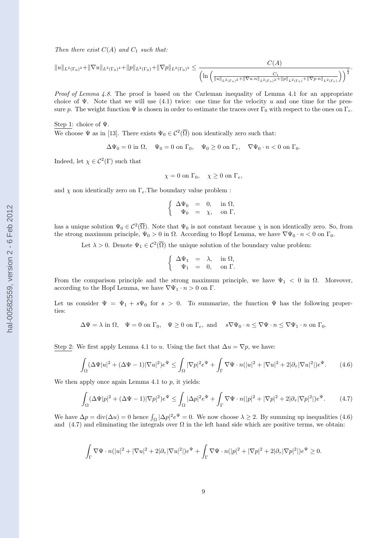Then there exist  $C(A)$  and  $C_1$  such that:

$$
||u||_{L^{2}(\Gamma_{0})^{2}}+||\nabla u||_{L^{2}(\Gamma_{0})^{4}}+||p||_{L^{2}(\Gamma_{0})}+||\nabla p||_{L^{2}(\Gamma_{0})^{2}}\leq \frac{C(A)}{\left(\ln\left(\frac{C_{1}}{||u||_{L^{2}(\Gamma_{e})^{2}}+||\nabla u\cdot n||_{L^{2}(\Gamma_{e})^{2}}+||p||_{L^{2}(\Gamma_{e})}+||\nabla p\cdot n||_{L^{2}(\Gamma_{e})}}\right)\right)^{\frac{1}{2}}}
$$

.

Proof of Lemma 4.8. The proof is based on the Carleman inequality of Lemma 4.1 for an appropriate choice of Ψ. Note that we will use  $(4.1)$  twice: one time for the velocity u and one time for the pressure p. The weight function  $\Psi$  is chosen in order to estimate the traces over  $\Gamma_0$  with respect to the ones on  $\Gamma_e$ .

Step 1: choice of Ψ.

We choose  $\Psi$  as in [13]. There exists  $\Psi_0 \in C^2(\overline{\Omega})$  non identically zero such that:

$$
\Delta\Psi_0=0\text{ in }\Omega,\quad\Psi_0=0\text{ on }\Gamma_0,\quad\Psi_0\geq 0\text{ on }\Gamma_e,\quad\nabla\Psi_0\cdot n<0\text{ on }\Gamma_0.
$$

Indeed, let  $\chi \in C^2(\Gamma)$  such that

 $\chi = 0$  on  $\Gamma_0$ ,  $\chi \ge 0$  on  $\Gamma_e$ ,

and  $\chi$  non identically zero on  $\Gamma_e$ . The boundary value problem :

$$
\left\{\begin{array}{rcl}\Delta\Psi_0&=&0, &\text{ in }\Omega,\\ \Psi_0&=&\chi, &\text{ on }\Gamma,\end{array}\right.
$$

has a unique solution  $\Psi_0 \in C^2(\overline{\Omega})$ . Note that  $\Psi_0$  is not constant because  $\chi$  is non identically zero. So, from the strong maximum principle,  $\Psi_0 > 0$  in  $\Omega$ . According to Hopf Lemma, we have  $\nabla \Psi_0 \cdot n < 0$  on  $\Gamma_0$ .

Let  $\lambda > 0$ . Denote  $\Psi_1 \in C^2(\overline{\Omega})$  the unique solution of the boundary value problem:

$$
\left\{\begin{array}{rcl} \Delta \Psi_1 &=& \lambda, & \text{ in } \Omega, \\ \Psi_1 &=& 0, & \text{ on } \Gamma. \end{array}\right.
$$

From the comparison principle and the strong maximum principle, we have  $\Psi_1 < 0$  in  $\Omega$ . Moreover, according to the Hopf Lemma, we have  $\nabla \Psi_1 \cdot n > 0$  on  $\Gamma$ .

Let us consider  $\Psi = \Psi_1 + s\Psi_0$  for  $s > 0$ . To summarize, the function  $\Psi$  has the following properties:

 $\Delta \Psi = \lambda$  in  $\Omega$ ,  $\Psi = 0$  on  $\Gamma_0$ ,  $\Psi \ge 0$  on  $\Gamma_e$ , and  $s \nabla \Psi_0 \cdot n \le \nabla \Psi \cdot n \le \nabla \Psi_1 \cdot n$  on  $\Gamma_0$ .

Step 2: We first apply Lemma 4.1 to u. Using the fact that  $\Delta u = \nabla p$ , we have:

$$
\int_{\Omega} (\Delta \Psi |u|^2 + (\Delta \Psi - 1) |\nabla u|^2) e^{\Psi} \le \int_{\Omega} |\nabla p|^2 e^{\Psi} + \int_{\Gamma} \nabla \Psi \cdot n (|u|^2 + |\nabla u|^2 + 2|\partial_{\tau} |\nabla u|^2|) e^{\Psi}.
$$
 (4.6)

We then apply once again Lemma 4.1 to  $p$ , it yields:

$$
\int_{\Omega} (\Delta \Psi |p|^2 + (\Delta \Psi - 1) |\nabla p|^2) e^{\Psi} \le \int_{\Omega} |\Delta p|^2 e^{\Psi} + \int_{\Gamma} \nabla \Psi \cdot n(|p|^2 + |\nabla p|^2 + 2|\partial_{\tau} |\nabla p|^2|) e^{\Psi}.
$$
 (4.7)

We have  $\Delta p = \text{div}(\Delta u) = 0$  hence  $\int_{\Omega} |\Delta p|^2 e^{\Psi} = 0$ . We now choose  $\lambda \geq 2$ . By summing up inequalities (4.6) and (4.7) and eliminating the integrals over  $\Omega$  in the left hand side which are positive terms, we obtain:

$$
\int_{\Gamma} \nabla \Psi \cdot n(|u|^2 + |\nabla u|^2 + 2|\partial_{\tau}|\nabla u|^2|)e^{\Psi} + \int_{\Gamma} \nabla \Psi \cdot n(|p|^2 + |\nabla p|^2 + 2|\partial_{\tau}|\nabla p|^2|)e^{\Psi} \ge 0.
$$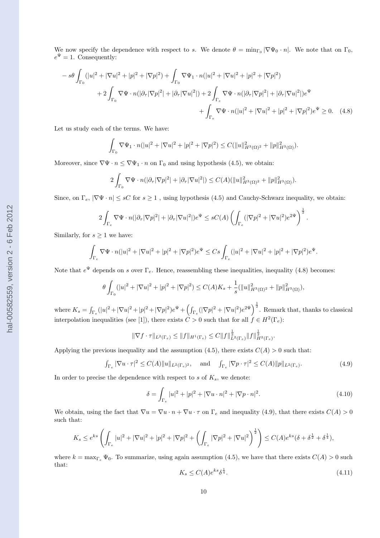We now specify the dependence with respect to s. We denote  $\theta = \min_{\Gamma_0} |\nabla \Psi_0 \cdot n|$ . We note that on  $\Gamma_0$ ,  $e^{\Psi} = 1$ . Consequently:

$$
-s\theta \int_{\Gamma_0} (|u|^2 + |\nabla u|^2 + |p|^2 + |\nabla p|^2) + \int_{\Gamma_0} \nabla \Psi_1 \cdot n(|u|^2 + |\nabla u|^2 + |p|^2 + |\nabla p|^2) + 2 \int_{\Gamma_0} \nabla \Psi \cdot n(|\partial_\tau |\nabla p|^2 + |\partial_\tau |\nabla u|^2|) + 2 \int_{\Gamma_e} \nabla \Psi \cdot n(|\partial_\tau |\nabla p|^2 + |\partial_\tau |\nabla u|^2|) e^{\Psi} + \int_{\Gamma_e} \nabla \Psi \cdot n(|u|^2 + |\nabla u|^2 + |p|^2 + |\nabla p|^2) e^{\Psi} \ge 0.
$$
 (4.8)

Let us study each of the terms. We have:

$$
\int_{\Gamma_0} \nabla \Psi_1 \cdot n(|u|^2 + |\nabla u|^2 + |p|^2 + |\nabla p|^2) \leq C(||u||_{H^3(\Omega)^2}^2 + ||p||_{H^3(\Omega)}^2).
$$

Moreover, since  $\nabla \Psi \cdot n \leq \nabla \Psi_1 \cdot n$  on  $\Gamma_0$  and using hypothesis (4.5), we obtain:

$$
2\int_{\Gamma_0} \nabla \Psi \cdot n(|\partial_{\tau}|\nabla p|^2|+|\partial_{\tau}|\nabla u|^2|) \leq C(A)(\|u\|_{H^3(\Omega)^2}^2+\|p\|_{H^3(\Omega)}^2).
$$

Since, on  $\Gamma_e$ ,  $|\nabla \Psi \cdot n| \le sC$  for  $s \ge 1$ , using hypothesis (4.5) and Cauchy-Schwarz inequality, we obtain:

$$
2\int_{\Gamma_e} \nabla \Psi \cdot n(|\partial_{\tau}|\nabla p|^2|+|\partial_{\tau}|\nabla u|^2|)e^{\Psi} \leq sC(A)\left(\int_{\Gamma_e} (|\nabla p|^2+|\nabla u|^2)e^{2\Psi}\right)^{\frac{1}{2}}.
$$

Similarly, for  $s \geq 1$  we have:

$$
\int_{\Gamma_e}\nabla\Psi\cdot n(|u|^2+|\nabla u|^2+|p|^2+|\nabla p|^2)e^\Psi\leq Cs\int_{\Gamma_e}(|u|^2+|\nabla u|^2+|p|^2+|\nabla p|^2)e^\Psi.
$$

Note that  $e^{\Psi}$  depends on s over  $\Gamma_e$ . Hence, reassembling these inequalities, inequality (4.8) becomes:

$$
\theta \int_{\Gamma_0} (|u|^2 + |\nabla u|^2 + |p|^2 + |\nabla p|^2) \le C(A) K_s + \frac{1}{s} (||u||^2_{H^3(\Omega)^2} + ||p||^2_{H^3(\Omega)}),
$$

where  $K_s = \int_{\Gamma_e} (|u|^2 + |\nabla u|^2 + |\nabla p|^2)e^{\Psi} + \left(\int_{\Gamma_e} (|\nabla p|^2 + |\nabla u|^2)e^{2\Psi}\right)^{\frac{1}{2}}$ . Remark that, thanks to classical interpolation inequalities (see [1]), there exists  $C > 0$  such that for all  $f \in H^2(\Gamma_e)$ :

$$
\|\nabla f \cdot \tau\|_{L^2(\Gamma_e)} \le \|f\|_{H^1(\Gamma_e)} \le C \|f\|_{L^2(\Gamma_e)}^{\frac{1}{2}} \|f\|_{H^2(\Gamma_e)}^{\frac{1}{2}}
$$

Applying the previous inequality and the assumption (4.5), there exists  $C(A) > 0$  such that:

$$
\int_{\Gamma_e} |\nabla u \cdot \tau|^2 \le C(A) \|u\|_{L^2(\Gamma_e)^2}, \quad \text{and} \quad \int_{\Gamma_e} |\nabla p \cdot \tau|^2 \le C(A) \|p\|_{L^2(\Gamma_e)}.
$$
 (4.9)

In order to precise the dependence with respect to  $s$  of  $K_s$ , we denote:

$$
\delta = \int_{\Gamma_e} |u|^2 + |p|^2 + |\nabla u \cdot n|^2 + |\nabla p \cdot n|^2. \tag{4.10}
$$

We obtain, using the fact that  $\nabla u = \nabla u \cdot n + \nabla u \cdot \tau$  on  $\Gamma_e$  and inequality (4.9), that there exists  $C(A) > 0$ such that:

$$
K_s \le e^{ks} \left( \int_{\Gamma_e} |u|^2 + |\nabla u|^2 + |p|^2 + |\nabla p|^2 + \left( \int_{\Gamma_e} |\nabla p|^2 + |\nabla u|^2 \right)^{\frac{1}{2}} \right) \le C(A) e^{ks} (\delta + \delta^{\frac{1}{2}} + \delta^{\frac{1}{4}}),
$$

where  $k = \max_{\Gamma_e} \Psi_0$ . To summarize, using again assumption (4.5), we have that there exists  $C(A) > 0$  such that: 1

$$
K_s \le C(A)e^{ks}\delta^{\frac{1}{4}}.\tag{4.11}
$$

.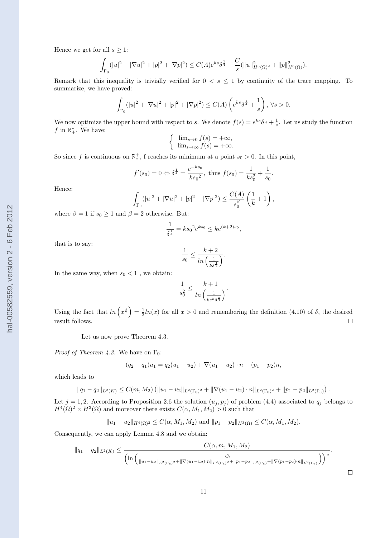$$
\int_{\Gamma_0} (|u|^2 + |\nabla u|^2 + |p|^2 + |\nabla p|^2) \le C(A)e^{ks}\delta^{\frac{1}{4}} + \frac{C}{s}(\|u\|_{H^3(\Omega)^2}^2 + \|p\|_{H^3(\Omega)}^2).
$$

Remark that this inequality is trivially verified for  $0 < s \leq 1$  by continuity of the trace mapping. To summarize, we have proved:

$$
\int_{\Gamma_0} (|u|^2 + |\nabla u|^2 + |p|^2 + |\nabla p|^2) \le C(A) \left( e^{ks} \delta^{\frac{1}{4}} + \frac{1}{s} \right), \forall s > 0.
$$

We now optimize the upper bound with respect to s. We denote  $f(s) = e^{ks} \delta^{\frac{1}{4}} + \frac{1}{s}$ . Let us study the function f in  $\mathbb{R}^*_+$ . We have:

$$
\begin{cases} \lim_{s \to 0} f(s) = +\infty, \\ \lim_{s \to \infty} f(s) = +\infty. \end{cases}
$$

So since f is continuous on  $\mathbb{R}^*_*$ , f reaches its minimum at a point  $s_0 > 0$ . In this point,

$$
f'(s_0) = 0 \Leftrightarrow \delta^{\frac{1}{4}} = \frac{e^{-ks_0}}{ks_0^2}
$$
, thus  $f(s_0) = \frac{1}{ks_0^2} + \frac{1}{s_0}$ 

.

 $\Box$ 

Hence:

$$
\int_{\Gamma_0} (|u|^2 + |\nabla u|^2 + |p|^2 + |\nabla p|^2) \le \frac{C(A)}{s_0^{\beta}} \left(\frac{1}{k} + 1\right),
$$

where  $\beta = 1$  if  $s_0 \geq 1$  and  $\beta = 2$  otherwise. But:

$$
\frac{1}{\delta^{\frac{1}{4}}} = k s_0^2 e^{ks_0} \leq k e^{(k+2)s_0},
$$

that is to say:

$$
\frac{1}{s_0} \le \frac{k+2}{\ln\left(\frac{1}{k\delta^{\frac{1}{4}}}\right)}.
$$

In the same way, when  $s_0 < 1$ , we obtain:

$$
\frac{1}{s_0^2} \leq \frac{k+1}{\ln\left(\frac{1}{ke^k\delta^{\frac{1}{4}}}\right)}.
$$

Using the fact that  $\ln(x^{\frac{1}{2}}) = \frac{1}{2}\ln(x)$  for all  $x > 0$  and remembering the definition (4.10) of  $\delta$ , the desired result follows.  $\Box$ 

Let us now prove Theorem 4.3.

*Proof of Theorem 4.3.* We have on  $\Gamma_0$ :

$$
(q_2 - q_1)u_1 = q_2(u_1 - u_2) + \nabla(u_1 - u_2) \cdot n - (p_1 - p_2)n,
$$

which leads to

$$
||q_1-q_2||_{L^2(K)} \leq C(m,M_2) \left( ||u_1-u_2||_{L^2(\Gamma_0)^2} + ||\nabla(u_1-u_2)\cdot n||_{L^2(\Gamma_0)^2} + ||p_1-p_2||_{L^2(\Gamma_0)} \right).
$$

Let  $j = 1, 2$ . According to Proposition 2.6 the solution  $(u_j, p_j)$  of problem (4.4) associated to  $q_j$  belongs to  $H^4(\Omega)^2 \times H^3(\Omega)$  and moreover there exists  $C(\alpha, M_1, M_2) > 0$  such that

$$
||u_1 - u_2||_{H^4(\Omega)^2} \leq C(\alpha, M_1, M_2)
$$
 and  $||p_1 - p_2||_{H^3(\Omega)} \leq C(\alpha, M_1, M_2)$ .

Consequently, we can apply Lemma 4.8 and we obtain:

$$
||q_1 - q_2||_{L^2(K)} \le \frac{C(\alpha, m, M_1, M_2)}{\left(\ln\left(\frac{||u_1 - u_2||_{L^2(\Gamma_e)^2} + ||\nabla(u_1 - u_2) \cdot n||_{L^2(\Gamma_e)^2} + ||p_1 - p_2||_{L^2(\Gamma_e)} + ||\nabla(p_1 - p_2) \cdot n||_{L^2(\Gamma_e)}\right)\right)^{\frac{1}{2}}}.
$$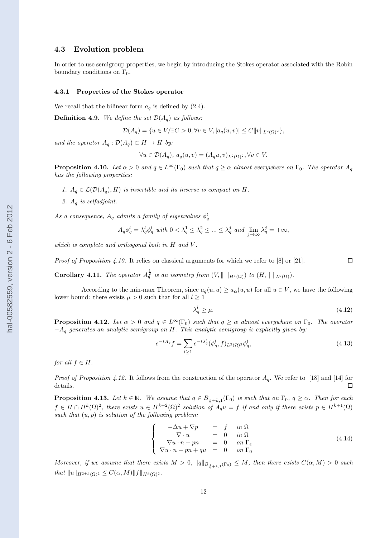### 4.3 Evolution problem

In order to use semigroup properties, we begin by introducing the Stokes operator associated with the Robin boundary conditions on  $\Gamma_0$ .

#### 4.3.1 Properties of the Stokes operator

We recall that the bilinear form  $a<sub>q</sub>$  is defined by (2.4).

**Definition 4.9.** We define the set  $\mathcal{D}(A_q)$  as follows:

$$
\mathcal{D}(A_q) = \{ u \in V / \exists C > 0, \forall v \in V, |a_q(u, v)| \le C ||v||_{L^2(\Omega)^2} \},\
$$

and the operator  $A_q: \mathcal{D}(A_q) \subset H \to H$  by:

$$
\forall u \in \mathcal{D}(A_q), \ a_q(u,v) = (A_q u, v)_{L^2(\Omega)^2}, \forall v \in V.
$$

**Proposition 4.10.** Let  $\alpha > 0$  and  $q \in L^{\infty}(\Gamma_0)$  such that  $q \geq \alpha$  almost everywhere on  $\Gamma_0$ . The operator  $A_q$ has the following properties:

- 1.  $A_q \in \mathcal{L}(\mathcal{D}(A_q), H)$  is invertible and its inverse is compact on H.
- 2.  $A_q$  is selfadjoint.

As a consequence,  $A_q$  admits a family of eigenvalues  $\phi_q^l$ 

$$
A_q\phi_q^l = \lambda_q^l \phi_q^l \text{ with } 0 < \lambda_q^1 \le \lambda_q^2 \le \dots \le \lambda_q^j \text{ and } \lim_{j \to \infty} \lambda_q^j = +\infty,
$$

which is complete and orthogonal both in H and V.

Proof of Proposition 4.10. It relies on classical arguments for which we refer to [8] or [21].  $\Box$ 

**Corollary 4.11.** The operator  $A_q^{\frac{1}{2}}$  is an isometry from  $(V, \|\ \|_{H^1(\Omega)})$  to  $(H, \|\ \|_{L^2(\Omega)})$ .

According to the min-max Theorem, since  $a_q(u, u) \ge a_\alpha(u, u)$  for all  $u \in V$ , we have the following lower bound: there exists  $\mu > 0$  such that for all  $l \geq 1$ 

$$
\lambda_q^l \ge \mu. \tag{4.12}
$$

**Proposition 4.12.** Let  $\alpha > 0$  and  $q \in L^{\infty}(\Gamma_0)$  such that  $q \geq \alpha$  almost everywhere on  $\Gamma_0$ . The operator  $-A_q$  generates an analytic semigroup on H. This analytic semigroup is explicitly given by:

$$
e^{-tA_q}f = \sum_{l\geq 1} e^{-t\lambda_q^l} (\phi_q^l, f)_{L^2(\Omega)^2} \phi_q^l,
$$
\n(4.13)

for all  $f \in H$ .

*Proof of Proposition 4.12.* It follows from the construction of the operator  $A<sub>q</sub>$ . We refer to [18] and [14] for details.  $\Box$ 

**Proposition 4.13.** Let  $k \in \mathbb{N}$ . We assume that  $q \in B_{\frac{1}{2}+k,1}(\Gamma_0)$  is such that on  $\Gamma_0$ ,  $q \geq \alpha$ . Then for each  $f \in H \cap H^k(\Omega)^2$ , there exists  $u \in H^{k+2}(\Omega)^2$  solution of  $A_q u = f$  if and only if there exists  $p \in H^{k+1}(\Omega)$ such that  $(u, p)$  is solution of the following problem:

$$
\begin{cases}\n-\Delta u + \nabla p &= f \quad in \ \Omega \\
\nabla \cdot u &= 0 \quad in \ \Omega \\
\nabla u \cdot n - pn &= 0 \quad on \ \Gamma_e \\
\nabla u \cdot n - pn + qu &= 0 \quad on \ \Gamma_0\n\end{cases}
$$
\n(4.14)

Moreover, if we assume that there exists  $M > 0$ ,  $||q||_{B_{\frac{1}{2}+k,1}(\Gamma_0)} \leq M$ , then there exists  $C(\alpha, M) > 0$  such that  $||u||_{H^{2+k}(\Omega)^2} \leq C(\alpha, M) ||f||_{H^k(\Omega)^2}$ .

12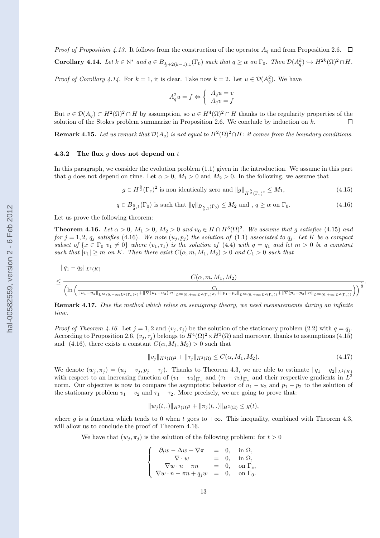*Proof of Proposition 4.13.* It follows from the construction of the operator  $A_q$  and from Proposition 2.6.  $\Box$ Corollary 4.14. Let  $k \in \mathbb{N}^*$  and  $q \in B_{\frac{1}{2}+2(k-1),1}(\Gamma_0)$  such that  $q \geq \alpha$  on  $\Gamma_0$ . Then  $\mathcal{D}(A_q^k) \hookrightarrow H^{2k}(\Omega)^2 \cap H$ .

*Proof of Corollary 4.14.* For  $k = 1$ , it is clear. Take now  $k = 2$ . Let  $u \in \mathcal{D}(A_q^2)$ . We have

$$
A_q^2 u = f \Leftrightarrow \begin{cases} A_q u = v \\ A_q v = f \end{cases}
$$

But  $v \in \mathcal{D}(A_q) \subset H^2(\Omega)^2 \cap H$  by assumption, so  $u \in H^4(\Omega)^2 \cap H$  thanks to the regularity properties of the solution of the Stokes problem summarize in Proposition 2.6. We conclude by induction on  $k$ .  $\Box$ 

**Remark 4.15.** Let us remark that  $\mathcal{D}(A_q)$  is not equal to  $H^2(\Omega)^2 \cap H$ : it comes from the boundary conditions.

#### 4.3.2 The flux  $g$  does not depend on  $t$

In this paragraph, we consider the evolution problem (1.1) given in the introduction. We assume in this part that g does not depend on time. Let  $\alpha > 0$ ,  $M_1 > 0$  and  $M_2 > 0$ . In the following, we assume that

$$
g \in H^{\frac{5}{2}}(\Gamma_e)^2 \text{ is non identically zero and } \|g\|_{H^{\frac{5}{2}}(\Gamma_e)^2} \le M_1,\tag{4.15}
$$

$$
q \in B_{\frac{5}{2},1}(\Gamma_0) \text{ is such that } \|q\|_{B_{\frac{5}{2},1}(\Gamma_0)} \le M_2 \text{ and }, q \ge \alpha \text{ on } \Gamma_0. \tag{4.16}
$$

Let us prove the following theorem:

**Theorem 4.16.** Let  $\alpha > 0$ ,  $M_1 > 0$ ,  $M_2 > 0$  and  $u_0 \in H \cap H^3(\Omega)^2$ . We assume that g satisfies (4.15) and for  $j = 1, 2, q_j$  satisfies (4.16). We note  $(u_j, p_j)$  the solution of (1.1) associated to  $q_j$ . Let K be a compact subset of  $\{x \in \Gamma_0 : v_1 \neq 0\}$  where  $(v_1, \tau_1)$  is the solution of  $(4.4)$  with  $q = q_1$  and let  $m > 0$  be a constant such that  $|v_1| \geq m$  on K. Then there exist  $C(\alpha, m, M_1, M_2) > 0$  and  $C_1 > 0$  such that

$$
\|q_1 - q_2\|_{L^2(K)}
$$
  

$$
\leq \frac{C(\alpha, m, M_1, M_2)}{\left(\ln\left(\frac{1}{\|u_1 - u_2\|_{L^{\infty}(0, +\infty; L^2(\Gamma_e)^2)} + \|\nabla(u_1 - u_2) \cdot n\|_{L^{\infty}(0, +\infty; L^2(\Gamma_e)^2)} + \|p_1 - p_2\|_{L^{\infty}(0, +\infty; L^2(\Gamma_e))} + \|\nabla(p_1 - p_2) \cdot n\|_{L^{\infty}(0, +\infty; L^2(\Gamma_e))}}\right)\right)^{\frac{1}{2}}}.
$$

**Remark 4.17.** Due the method which relies on semigroup theory, we need measurements during an infinite time.

*Proof of Theorem 4.16.* Let  $j = 1, 2$  and  $(v_i, \tau_i)$  be the solution of the stationary problem (2.2) with  $q = q_i$ . According to Proposition 2.6,  $(v_j, \tau_j)$  belongs to  $H^4(\Omega)^2 \times H^3(\Omega)$  and moreover, thanks to assumptions (4.15) and (4.16), there exists a constant  $C(\alpha, M_1, M_2) > 0$  such that

$$
||v_j||_{H^4(\Omega)^2} + ||\tau_j||_{H^3(\Omega)} \le C(\alpha, M_1, M_2). \tag{4.17}
$$

We denote  $(w_j, \pi_j) = (u_j - v_j, p_j - \tau_j)$ . Thanks to Theorem 4.3, we are able to estimate  $||q_1 - q_2||_{L^2(K)}$ with respect to an increasing function of  $(v_1 - v_2)|_{\Gamma_e}$  and  $(\tau_1 - \tau_2)|_{\Gamma_e}$  and their respective gradients in  $L^2$ norm. Our objective is now to compare the asymptotic behavior of  $u_1 - u_2$  and  $p_1 - p_2$  to the solution of the stationary problem  $v_1 - v_2$  and  $\tau_1 - \tau_2$ . More precisely, we are going to prove that:

$$
||w_j(t,.)||_{H^3(\Omega)^2} + ||\pi_j(t,.)||_{H^2(\Omega)} \le g(t),
$$

where g is a function which tends to 0 when t goes to  $+\infty$ . This inequality, combined with Theorem 4.3, will allow us to conclude the proof of Theorem 4.16.

We have that  $(w_i, \pi_i)$  is the solution of the following problem: for  $t > 0$ 

$$
\left\{\begin{array}{rcl}\n\partial_t w - \Delta w + \nabla \pi &=& 0, \quad \text{in } \Omega, \\
\nabla \cdot w &=& 0, \quad \text{in } \Omega, \\
\nabla w \cdot n - \pi n &=& 0, \quad \text{on } \Gamma_e, \\
\nabla w \cdot n - \pi n + q_j w &=& 0, \quad \text{on } \Gamma_0.\n\end{array}\right.
$$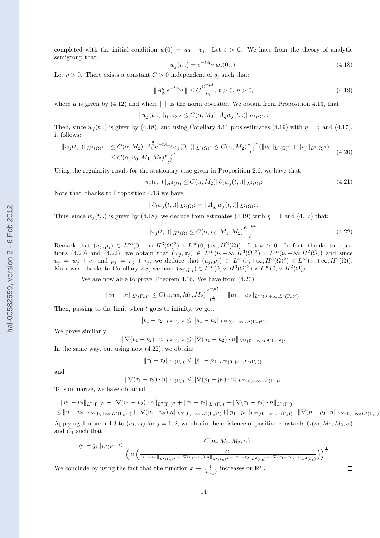completed with the initial condition  $w(0) = u_0 - v_i$ . Let  $t > 0$ . We have from the theory of analytic semigroup that:

$$
w_j(t,.) = e^{-tA_{q_j}} w_j(0,.).
$$
\n(4.18)

Let  $\eta > 0$ . There exists a constant  $C > 0$  independent of  $q_i$  such that:

$$
||A_{q_j}^{\eta} e^{-tA_{q_j}}|| \le C \frac{e^{-\mu t}}{t^{\eta}}, \ t > 0, \ \eta > 0,
$$
\n(4.19)

where  $\mu$  is given by (4.12) and where  $\|\cdot\|$  is the norm operator. We obtain from Proposition 4.13, that:

$$
||w_j(t,.)||_{H^3(\Omega)^2} \leq C(\alpha, M_2)||A_q w_j(t,.)||_{H^1(\Omega)^2}.
$$

Then, since  $w_j(t,.)$  is given by (4.18), and using Corollary 4.11 plus estimates (4.19) with  $\eta = \frac{3}{2}$  and (4.17), it follows:

$$
\|w_j(t,.)\|_{H^3(\Omega)^2} \le C(\alpha, M_2) \|A_q^{\frac{3}{2}} e^{-tA_{q_j}} w_j(0,.)\|_{L^2(\Omega)^2} \le C(\alpha, M_2) \frac{e^{-\mu t}}{t^{\frac{3}{2}}} (\|u_0\|_{L^2(\Omega)^2} + \|v_j\|_{L^2(\Omega)^2})
$$
  
 
$$
\le C(\alpha, u_0, M_1, M_2) \frac{e^{-\mu t}}{t^{\frac{3}{2}}}.
$$
 (4.20)

Using the regularity result for the stationary case given in Proposition 2.6, we have that:

 $\|\pi_i(t,.)\|_{H^2(\Omega)} \leq C(\alpha, M_2) \|\partial_t w_i(t,.)\|_{L^2(\Omega)^2}.$  (4.21)

Note that, thanks to Proposition 4.13 we have:

$$
\|\partial_t w_j(t,.)\|_{L^2(\Omega)^2} = \|A_{q_j} w_j(t,.)\|_{L^2(\Omega)^2}.
$$

Thus, since  $w_i(t,.)$  is given by (4.18), we deduce from estimates (4.19) with  $\eta = 1$  and (4.17) that:

$$
\|\pi_j(t,.)\|_{H^2(\Omega)} \le C(\alpha, u_0, M_1, M_2) \frac{e^{-\mu t}}{t}.
$$
\n(4.22)

Remark that  $(u_j, p_j) \in L^{\infty}(0, +\infty; H^3(\Omega)^2) \times L^{\infty}(0, +\infty; H^2(\Omega))$ . Let  $\nu > 0$ . In fact, thanks to equations (4.20) and (4.22), we obtain that  $(w_j, \pi_j) \in L^{\infty}(\nu, +\infty; H^3(\Omega)^2) \times L^{\infty}(\nu, +\infty; H^2(\Omega))$  and since  $u_j = w_j + v_j$  and  $p_j = \pi_j + \tau_j$ , we deduce that  $(u_j, p_j) \in L^{\infty}(\nu, +\infty; H^3(\Omega)^2) \times L^{\infty}(\nu, +\infty; H^2(\Omega)).$ Moreover, thanks to Corollary 2.8, we have  $(u_j, p_j) \in L^{\infty}(0, \nu; H^3(\Omega)^2) \times L^{\infty}(0, \nu; H^2(\Omega)).$ 

We are now able to prove Theorem 4.16. We have from (4.20):

$$
||v_1 - v_2||_{L^2(\Gamma_e)^2} \leq C(\alpha, u_0, M_1, M_2) \frac{e^{-\mu t}}{t^{\frac{3}{2}}} + ||u_1 - u_2||_{L^{\infty}(0, +\infty; L^2(\Gamma_e)^2)}.
$$

Then, passing to the limit when  $t$  goes to infinity, we get:

$$
||v_1 - v_2||_{L^2(\Gamma_e)^2} \le ||u_1 - u_2||_{L^\infty(0, +\infty; L^2(\Gamma_e)^2)}.
$$

We prove similarly:

$$
\|\nabla(v_1 - v_2) \cdot n\|_{L^2(\Gamma_e)^2} \le \|\nabla(u_1 - u_2) \cdot n\|_{L^\infty(0, +\infty; L^2(\Gamma_e)^2)}.
$$

In the same way, but using now (4.22), we obtain:

$$
\|\tau_1 - \tau_2\|_{L^2(\Gamma_e)} \le \|p_1 - p_2\|_{L^\infty(0, +\infty; L^2(\Gamma_e))},
$$

and

$$
\|\nabla(\tau_1-\tau_2)\cdot n\|_{L^2(\Gamma_e)} \le \|\nabla(p_1-p_2)\cdot n\|_{L^\infty(0,+\infty;L^2(\Gamma_e))}.
$$

To summarize, we have obtained:

$$
||v_1 - v_2||_{L^2(\Gamma_e)^2} + ||\nabla(v_1 - v_2) \cdot n||_{L^2(\Gamma_e)^2} + ||\tau_1 - \tau_2||_{L^2(\Gamma_e)} + ||\nabla(\tau_1 - \tau_2) \cdot n||_{L^2(\Gamma_e)}
$$

 $\leq \|u_1-u_2\|_{L^{\infty}(0,+\infty;L^2(\Gamma_e)^2)}+\|\nabla (u_1-u_2)\cdot n\|_{L^{\infty}(0,+\infty;L^2(\Gamma_e)^2)}+\|p_1-p_2\|_{L^{\infty}(0,+\infty;L^2(\Gamma_e))}+\|\nabla (p_1-p_2)\cdot n\|_{L^{\infty}(0,+\infty;L^2(\Gamma_e))}.$ Applying Theorem 4.3 to  $(v_j, \tau_j)$  for  $j = 1, 2$ , we obtain the existence of positive constants  $C(m, M_1, M_2, \alpha)$ and  $C_1$  such that

$$
||q_1 - q_2||_{L^2(K)} \le \frac{C(m, M_1, M_2, \alpha)}{\left(\ln\left(\frac{1}{||v_1 - v_2||_{L^2(\Gamma_e)^2} + ||\nabla(v_1 - v_2) \cdot n||_{L^2(\Gamma_e)^2} + ||\tau_1 - \tau_2||_{L^2(\Gamma_e)} + ||\nabla(\tau_1 - \tau_2) \cdot n||_{L^2(\Gamma_e)}}\right)\right)^{\frac{1}{2}}}.
$$

We conclude by using the fact that the function  $x \to \frac{1}{\ln(\frac{1}{x})}$  increases on  $\mathbb{R}^*_+$ .

 $\Box$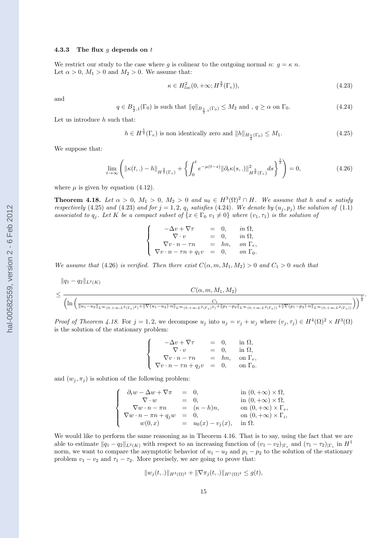### 4.3.3 The flux  $g$  depends on  $t$

We restrict our study to the case where g is colinear to the outgoing normal n:  $g = \kappa n$ . Let  $\alpha > 0$ ,  $M_1 > 0$  and  $M_2 > 0$ . We assume that:

$$
\kappa \in H_{loc}^2(0, +\infty; H^{\frac{3}{2}}(\Gamma_e)),\tag{4.23}
$$

.

and

$$
q \in B_{\frac{5}{2},1}(\Gamma_0) \text{ is such that } \|q\|_{B_{\frac{5}{2},1}(\Gamma_0)} \le M_2 \text{ and }, q \ge \alpha \text{ on } \Gamma_0. \tag{4.24}
$$

Let us introduce  $h$  such that:

$$
h \in H^{\frac{5}{2}}(\Gamma_e) \text{ is non identically zero and } ||h||_{H_{\frac{5}{2}}(\Gamma_0)} \le M_1. \tag{4.25}
$$

We suppose that:

$$
\lim_{t \to \infty} \left( \left\| \kappa(t,.) - h \right\|_{H^{\frac{3}{2}}(\Gamma_e)} + \left\{ \int_0^t e^{-\mu(t-s)} \left\| \partial_t \kappa(s,.) \right\|_{H^{\frac{3}{2}}(\Gamma_e)}^2 ds \right\}^{\frac{1}{2}} \right) = 0, \tag{4.26}
$$

where  $\mu$  is given by equation (4.12).

**Theorem 4.18.** Let  $\alpha > 0$ ,  $M_1 > 0$ ,  $M_2 > 0$  and  $u_0 \in H^3(\Omega)^2 \cap H$ . We assume that h and  $\kappa$  satisfy respectively (4.25) and (4.23) and for  $j = 1, 2, q_j$  satisfies (4.24). We denote by  $(u_j, p_j)$  the solution of (1.1) associated to  $q_j$ . Let K be a compact subset of  $\{x \in \Gamma_0 \, v_1 \neq 0\}$  where  $(v_1, \tau_1)$  is the solution of

$$
\left\{\begin{array}{rcll} -\Delta v+\nabla\tau &=& 0, &\quad in\ \Omega,\\ \nabla\cdot v &=& 0, &\quad in\ \Omega,\\ \nabla v\cdot n-\tau n &=& hn, &\quad on\ \Gamma_e,\\ \nabla v\cdot n-\tau n+q_1v &=& 0, &\quad on\ \Gamma_0. \end{array}\right.
$$

We assume that (4.26) is verified. Then there exist  $C(\alpha, m, M_1, M_2) > 0$  and  $C_1 > 0$  such that

$$
\|q_1 - q_2\|_{L^2(K)}
$$
  

$$
\leq \frac{C(\alpha, m, M_1, M_2)}{\left(\ln\left(\frac{1}{\|u_1 - u_2\|_{L^{\infty}(0, +\infty; L^2(\Gamma_e)^2)} + \| \nabla (u_1 - u_2) \cdot n \|_{L^{\infty}(0, +\infty; L^2(\Gamma_e)^2)} + \|p_1 - p_2\|_{L^{\infty}(0, +\infty; L^2(\Gamma_e))} + \| \nabla (p_1 - p_2) \cdot n \|_{L^{\infty}(0, +\infty; L^2(\Gamma_e))}}\right)\right)^{\frac{1}{2}}}
$$

*Proof of Theorem 4.18.* For  $j = 1, 2$ , we decompose  $u_j$  into  $u_j = v_j + w_j$  where  $(v_j, \tau_j) \in H^4(\Omega)^2 \times H^3(\Omega)$ is the solution of the stationary problem:

$$
\begin{cases}\n-\Delta v + \nabla \tau &= 0, \text{ in } \Omega, \\
\nabla \cdot v &= 0, \text{ in } \Omega, \\
\nabla v \cdot n - \tau n &= hn, \text{ on } \Gamma_e, \\
\nabla v \cdot n - \tau n + q_j v &= 0, \text{ on } \Gamma_0.\n\end{cases}
$$

and  $(w_i, \pi_i)$  is solution of the following problem:

$$
\left\{\begin{array}{rcll} \partial_t w - \Delta w + \nabla \pi &=& 0, &\text{in } (0,+\infty) \times \Omega, \\ \nabla \cdot w &=& 0, &\text{in } (0,+\infty) \times \Omega, \\ \nabla w \cdot n - \pi n &=& (\kappa - h) n, &\text{on } (0,+\infty) \times \Gamma_e, \\ \nabla w \cdot n - \pi n + q_j w &=& 0, &\text{on } (0,+\infty) \times \Gamma_i, \\ w(0,x) &=& u_0(x) - v_j(x), &\text{in } \Omega. \end{array}\right.
$$

We would like to perform the same reasoning as in Theorem 4.16. That is to say, using the fact that we are able to estimate  $||q_1 - q_2||_{L^2(K)}$  with respect to an increasing function of  $(v_1 - v_2)|_{\Gamma_e}$  and  $(\tau_1 - \tau_2)|_{\Gamma_e}$  in  $H^1$ norm, we want to compare the asymptotic behavior of  $u_1 - u_2$  and  $p_1 - p_2$  to the solution of the stationary problem  $v_1 - v_2$  and  $\tau_1 - \tau_2$ . More precisely, we are going to prove that:

$$
||w_j(t,.)||_{H^3(\Omega)^2} + ||\nabla \pi_j(t,.)||_{H^1(\Omega)^2} \le g(t),
$$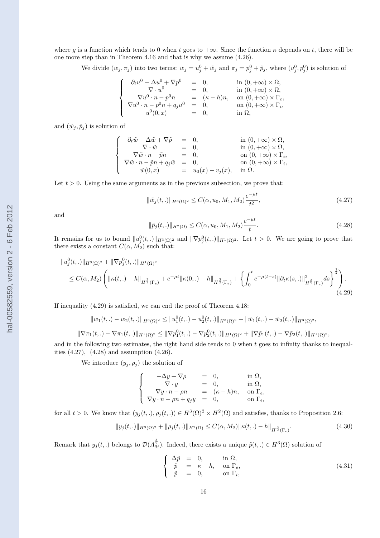where g is a function which tends to 0 when t goes to  $+\infty$ . Since the function  $\kappa$  depends on t, there will be one more step than in Theorem 4.16 and that is why we assume (4.26).

We divide  $(w_j, \pi_j)$  into two terms:  $w_j = u_j^0 + \tilde{w}_j$  and  $\pi_j = p_j^0 + \tilde{p}_j$ , where  $(u_j^0, p_j^0)$  is solution of

$$
\label{eq:2.1} \left\{ \begin{array}{rcl} \partial_t u^0 - \Delta u^0 + \nabla p^0 &=& 0, \qquad &\mbox{in } (0,+\infty)\times \Omega, \\ \nabla\cdot u^0 &=& 0, \qquad &\mbox{in } (0,+\infty)\times \Omega, \\ \nabla u^0\cdot n - p^0 n &=& (\kappa-h)n, \quad \mbox{on } (0,+\infty)\times \Gamma_e, \\ \nabla u^0\cdot n - p^0 n + q_j u^0 &=& 0, \qquad &\mbox{on } (0,+\infty)\times \Gamma_i, \\ u^0(0,x) &=& 0, \qquad &\mbox{in } \Omega, \end{array} \right.
$$

and  $(\tilde{w}_j, \tilde{p}_j)$  is solution of

$$
\label{eq:2.1} \left\{ \begin{array}{rcl} \partial_t \tilde w - \Delta \tilde w + \nabla \tilde p &=& 0, \qquad & \mbox{in } (0,+\infty)\times \Omega, \\ \nabla \cdot \tilde w &=& 0, \qquad & \mbox{in } (0,+\infty)\times \Omega, \\ \nabla \tilde w \cdot n - \tilde pn &=& 0, \qquad & \mbox{on } (0,+\infty)\times \Gamma_e, \\ \nabla \tilde w \cdot n - \tilde pn + q_j \tilde w &=& 0, \qquad & \mbox{on } (0,+\infty)\times \Gamma_i, \\ \tilde w(0,x) &=& u_0(x) - v_j(x), \quad & \mbox{in } \Omega. \end{array} \right.
$$

Let  $t > 0$ . Using the same arguments as in the previous subsection, we prove that:

$$
\|\tilde{w}_j(t,.)\|_{H^3(\Omega)^2} \le C(\alpha, u_0, M_1, M_2) \frac{e^{-\mu t}}{t^2},\tag{4.27}
$$

and

$$
\|\tilde{p}_j(t,.)\|_{H^2(\Omega)} \le C(\alpha, u_0, M_1, M_2) \frac{e^{-\mu t}}{t}.
$$
\n(4.28)

It remains for us to bound  $||u_j^0(t,.)||_{H^3(\Omega)^2}$  and  $||\nabla p_j^0(t,.)||_{H^1(\Omega)^2}$ . Let  $t > 0$ . We are going to prove that there exists a constant  $C(\alpha, M_2)$  such that:

$$
\|u_j^0(t,.)\|_{H^3(\Omega)^2} + \|\nabla p_j^0(t,.)\|_{H^1(\Omega)^2}
$$
  
\n
$$
\leq C(\alpha, M_2) \left( \|\kappa(t,.) - h\|_{H^{\frac{3}{2}}(\Gamma_e)} + e^{-\mu t} \|\kappa(0,.) - h\|_{H^{\frac{3}{2}}(\Gamma_e)} + \left\{ \int_0^t e^{-\mu(t-s)} \|\partial_t \kappa(s,.)\|_{H^{\frac{3}{2}}(\Gamma_e)}^2 ds \right\}^{\frac{1}{2}} \right). \tag{4.29}
$$

If inequality (4.29) is satisfied, we can end the proof of Theorem 4.18:

$$
||w_1(t,.) - w_2(t,.)||_{H^3(\Omega)^2} \le ||u_1^0(t,.) - u_2^0(t,.)||_{H^3(\Omega)^2} + ||\tilde{w}_1(t,.) - \tilde{w}_2(t,.)||_{H^3(\Omega)^2},
$$
  

$$
||\nabla \pi_1(t,.) - \nabla \pi_1(t,.)||_{H^1(\Omega)^2} \le ||\nabla p_1^0(t,.) - \nabla p_2^0(t,.)||_{H^1(\Omega)^2} + ||\nabla \tilde{p}_1(t,.) - \nabla \tilde{p}_2(t,.)||_{H^1(\Omega)^2},
$$

and in the following two estimates, the right hand side tends to 0 when  $t$  goes to infinity thanks to inequalities (4.27), (4.28) and assumption (4.26).

We introduce  $(y_j, \rho_j)$  the solution of

$$
\left\{\begin{array}{rcll} -\Delta y+\nabla \rho &=& 0, & \text{in }\Omega, \\ \nabla\cdot y &=& 0, & \text{in }\Omega, \\ \nabla y\cdot n-\rho n &=& (\kappa-h)n, & \text{on }\Gamma_e, \\ \nabla y\cdot n-\rho n+q_jy &=& 0, & \text{on }\Gamma_i, \end{array}\right.
$$

for all  $t > 0$ . We know that  $(y_j(t,.) , \rho_j(t,.) ) \in H^3(\Omega)^2 \times H^2(\Omega)$  and satisfies, thanks to Proposition 2.6:

$$
||y_j(t,.)||_{H^3(\Omega)^2} + ||\rho_j(t,.)||_{H^2(\Omega)} \le C(\alpha, M_2) ||\kappa(t,.) - h||_{H^{\frac{3}{2}}(\Gamma_e)}.
$$
\n(4.30)

Remark that  $y_j(t,.)$  belongs to  $\mathcal{D}(A_{q_j}^{\frac{3}{2}})$ . Indeed, there exists a unique  $\tilde{p}(t,.) \in H^3(\Omega)$  solution of

$$
\begin{cases}\n\Delta \tilde{p} = 0, & \text{in } \Omega, \\
\tilde{p} = \kappa - h, & \text{on } \Gamma_e, \\
\tilde{p} = 0, & \text{on } \Gamma_i,\n\end{cases}
$$
\n(4.31)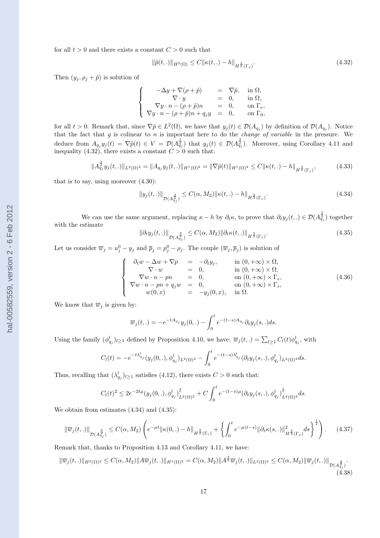for all  $t > 0$  and there exists a constant  $C > 0$  such that

$$
\|\tilde{p}(t,.)\|_{H^3(\Omega)} \le C \|\kappa(t,.) - h\|_{H^{\frac{3}{2}}(\Gamma_e)}.
$$
\n(4.32)

Then  $(y_j, \rho_j + \tilde{p})$  is solution of

$$
\left\{\begin{array}{rcll} -\Delta y+\nabla(\rho+\tilde{p})&=&\nabla\tilde{p},&\text{ in }\Omega,\\ \nabla\cdot y&=&0,&\text{ in }\Omega,\\ \nabla y\cdot n-(\rho+\tilde{p})n&=&0,&\text{ on }\Gamma_{e},\\ \nabla y\cdot n-(\rho+\tilde{p})n+q_jy&=&0,&\text{ on }\Gamma_{0}, \end{array}\right.
$$

for all  $t > 0$ . Remark that, since  $\nabla \tilde{p} \in L^2(\Omega)$ , we have that  $y_j(t) \in \mathcal{D}(A_{q_j})$  by definition of  $\mathcal{D}(A_{q_j})$ . Notice that the fact that  $g$  is colinear to  $n$  is important here to do the *change of variable* in the pressure. We deduce from  $A_{q_j} y_j(t) = \nabla \tilde{p}(t) \in V = \mathcal{D}(A_{q_j}^{\frac{1}{2}})$  that  $y_j(t) \in \mathcal{D}(A_{q_j}^{\frac{3}{2}})$ . Moreover, using Corollary 4.11 and inequality (4.32), there exists a constant  $C > 0$  such that:

$$
||A_{q_j}^{\frac{3}{2}}y_j(t,.)||_{L^2(\Omega)^2} = ||A_{q_j}y_j(t,.)||_{H^1(\Omega)^2} = ||\nabla \tilde{p}(t)||_{H^1(\Omega)^2} \le C||\kappa(t,.) - h||_{H^{\frac{3}{2}}(\Gamma_e)},
$$
\n(4.33)

that is to say, using moreover (4.30):

$$
||y_j(t,.)||_{\mathcal{D}(A_{q_j}^{\frac{3}{2}})} \le C(\alpha, M_2)||\kappa(t,.) - h||_{H^{\frac{3}{2}}(\Gamma_e)}.
$$
\n(4.34)

We can use the same argument, replacing  $\kappa - h$  by  $\partial_t \kappa$ , to prove that  $\partial_t y_j(t,.) \in \mathcal{D}(A_{q_j}^{\frac{3}{2}})$  together with the estimate

$$
\|\partial_t y_j(t,.)\|_{\mathcal{D}(A_{q_j}^{\frac{3}{2}})} \le C(\alpha, M_2) \|\partial_t \kappa(t,.)\|_{H^{\frac{3}{2}}(\Gamma_e)}.
$$
\n(4.35)

Let us consider  $\overline{w}_j = u_j^0 - y_j$  and  $\overline{p}_j = p_j^0 - \rho_j$ . The couple  $(\overline{w}_j, \overline{p}_j)$  is solution of

$$
\begin{cases}\n\frac{\partial_t w - \Delta w + \nabla p}{\nabla \cdot w} = -\partial_t y_j, & \text{in } (0, +\infty) \times \Omega, \\
\nabla \cdot w = 0, & \text{in } (0, +\infty) \times \Omega, \\
\nabla w \cdot n - pn = 0, & \text{on } (0, +\infty) \times \Gamma_e, \\
\nabla w \cdot n - pn + q_j w = 0, & \text{on } (0, +\infty) \times \Gamma_i, \\
w(0, x) = -y_j(0, x), & \text{in } \Omega.\n\end{cases}
$$
\n(4.36)

We know that  $\overline{w}_i$  is given by:

$$
\overline{w}_j(t,.) = -e^{-tA_{q_j}}y_j(0,.) - \int_0^t e^{-(t-s)A_{q_j}} \partial_t y_j(s,.) ds.
$$

Using the family  $(\phi_{q_j}^l)_{l\geq 1}$  defined by Proposition 4.10, we have:  $\overline{w}_j(t,.) = \sum_{l\geq 1} C_l(t)\phi_{q_j}^l$ , with

$$
C_l(t) = -e^{-t\lambda_{q_j}^l} (y_j(0,.), \phi_{q_j}^l)_{L^2(\Omega)^2} - \int_0^t e^{-(t-s)\lambda_{q_j}^l} (\partial_t y_j(s,.), \phi_{q_j}^l)_{L^2(\Omega)^2} ds.
$$

Thus, recalling that  $(\lambda_{q_j}^l)_{l\geq 1}$  satisfies (4.12), there exists  $C>0$  such that:

$$
C_l(t)^2 \le 2e^{-2t\mu} (y_j(0,.), \phi_{q_j}^l)_{L^2(\Omega)^2}^2 + C \int_0^t e^{-(t-s)\mu} (\partial_t y_j(s,.), \phi_{q_j}^l)_{L^2(\Omega)^2}^2 ds.
$$

We obtain from estimates (4.34) and (4.35):

$$
\|\overline{w}_j(t,.)\|_{\mathcal{D}(A_{q_j}^{\frac{3}{2}})} \le C(\alpha,M_2) \left( e^{-\mu t} \|\kappa(0,.) - h\|_{H^{\frac{3}{2}}(\Gamma_e)} + \left\{ \int_0^t e^{-\mu(t-s)} \|\partial_t \kappa(s,.)\|_{H^{\frac{3}{2}}(\Gamma_e)}^2 ds \right\}^{\frac{1}{2}} \right). \tag{4.37}
$$

Remark that, thanks to Proposition 4.13 and Corollary 4.11, we have:

$$
\|\overline{w}_j(t,.)\|_{H^3(\Omega)^2} \le C(\alpha, M_2) \|A\overline{w}_j(t,.)\|_{H^1(\Omega)^2} = C(\alpha, M_2) \|A^{\frac{3}{2}}\overline{w}_j(t,.)\|_{L^2(\Omega)^2} \le C(\alpha, M_2) \|\overline{w}_j(t,.)\|_{\mathcal{D}(A_{q_j}^{\frac{3}{2}})}.
$$
\n(4.38)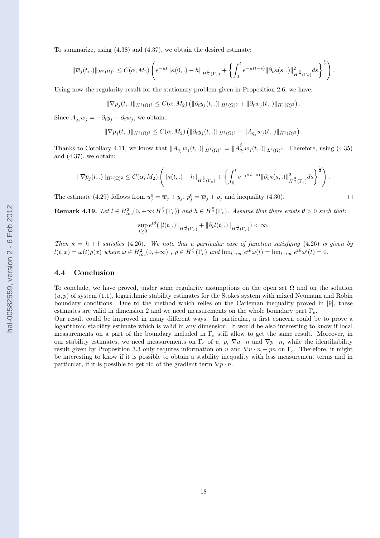To summarize, using (4.38) and (4.37), we obtain the desired estimate:

$$
\|\overline{w}_j(t,.)\|_{H^3(\Omega)^2} \leq C(\alpha,M_2) \left( e^{-\mu t} \|\kappa(0,.)-h\|_{H^{\frac{3}{2}}(\Gamma_e)} + \left\{ \int_0^t e^{-\mu(t-s)} \|\partial_t \kappa(s,.)\|_{H^{\frac{3}{2}}(\Gamma_e)}^2 ds \right\}^{\frac{1}{2}} \right).
$$

Using now the regularity result for the stationary problem given in Proposition 2.6, we have:

$$
\|\nabla \overline{p}_j(t,.)\|_{H^1(\Omega)^2} \leq C(\alpha,M_2) \left( \|\partial_t y_j(t,.)\|_{H^1(\Omega)^2} + \|\partial_t \overline{w}_j(t,.)\|_{H^1(\Omega)^2} \right).
$$

Since  $A_{q_i}\overline{w}_j = -\partial_t y_j - \partial_t \overline{w}_j$ , we obtain:

$$
\|\nabla \overline{p}_j(t,.)\|_{H^1(\Omega)^2} \leq C(\alpha,M_2) \left( \|\partial_t y_j(t,.)\|_{H^1(\Omega)^2} + \|A_{q_j}\overline{w}_j(t,.)\|_{H^1(\Omega)^2} \right).
$$

Thanks to Corollary 4.11, we know that  $||A_{q_j}\overline{w}_j(t,.)||_{H^1(\Omega)^2} = ||A_{q_j}^{\frac{3}{2}}\overline{w}_j(t,.)||_{L^2(\Omega)^2}$ . Therefore, using (4.35) and (4.37), we obtain:

$$
\|\nabla \overline{p}_j(t,.)\|_{H^1(\Omega)^2}\leq C(\alpha,M_2)\left(\|\kappa(t,.)-h\|_{H^{\frac{3}{2}}(\Gamma_e)}+\left\{\int_0^t e^{-\mu(t-s)}\|\partial_t\kappa(s,.)\|_{H^{\frac{3}{2}}(\Gamma_e)}^2ds\right\}^{\frac{1}{2}}\right).
$$

The estimate (4.29) follows from  $u_j^0 = \overline{w}_j + y_j$ ,  $p_j^0 = \overline{w}_j + \rho_j$  and inequality (4.30).

**Remark 4.19.** Let  $l \in H_{loc}^2(0, +\infty; H^{\frac{3}{2}}(\Gamma_e))$  and  $h \in H^{\frac{3}{2}}(\Gamma_e)$ . Assume that there exists  $\theta > 0$  such that:

$$
\sup_{t\geq 0}e^{t\theta}(\|l(t,.)\|_{H^{\frac{3}{2}}(\Gamma_e)}+\|\partial_t l(t,.)\|_{H^{\frac{3}{2}}(\Gamma_e)})<\infty,
$$

Then  $\kappa = h + l$  satisfies (4.26). We note that a particular case of function satisfying (4.26) is given by  $l(t,x) = \omega(t)\rho(x)$  where  $\omega \in H_{loc}^2(0,+\infty)$ ,  $\rho \in H^{\frac{3}{2}}(\Gamma_e)$  and  $\lim_{t\to\infty} e^{t\theta}\omega(t) = \lim_{t\to\infty} e^{t\theta}\omega'(t) = 0$ .

### 4.4 Conclusion

To conclude, we have proved, under some regularity assumptions on the open set  $\Omega$  and on the solution  $(u, p)$  of system (1.1), logarithmic stability estimates for the Stokes system with mixed Neumann and Robin boundary conditions. Due to the method which relies on the Carleman inequality proved in [9], these estimates are valid in dimension 2 and we need measurements on the whole boundary part  $\Gamma_e$ .

Our result could be improved in many different ways. In particular, a first concern could be to prove a logarithmic stability estimate which is valid in any dimension. It would be also interesting to know if local measurements on a part of the boundary included in  $\Gamma_e$  still allow to get the same result. Moreover, in our stability estimates, we need measurements on  $\Gamma_e$  of u, p,  $\nabla u \cdot n$  and  $\nabla p \cdot n$ , while the identifiability result given by Proposition 3.3 only requires information on u and  $\nabla u \cdot n - pn$  on  $\Gamma_e$ . Therefore, it might be interesting to know if it is possible to obtain a stability inequality with less measurement terms and in particular, if it is possible to get rid of the gradient term  $\nabla p \cdot n$ .

 $\Box$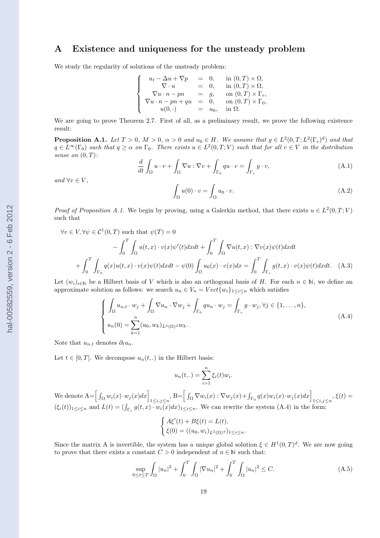# A Existence and uniqueness for the unsteady problem

We study the regularity of solutions of the unsteady problem:

$$
\left\{\begin{array}{rcll} u_t-\Delta u+\nabla p&=&0, &\hbox{ in } (0,T)\times \Omega,\\ \nabla\cdot u&=&0, &\hbox{ in } (0,T)\times \Omega,\\ \nabla u\cdot n-pn&=&g, &\hbox{ on } (0,T)\times \Gamma_e,\\ \nabla u\cdot n-pn+qu&=&0, &\hbox{ on } (0,T)\times \Gamma_0,\\ u(0,\cdot)&=&u_0, &\hbox{ in } \Omega. \end{array}\right.
$$

We are going to prove Theorem 2.7. First of all, as a preliminary result, we prove the following existence result:

**Proposition A.1.** Let  $T > 0$ ,  $M > 0$ ,  $\alpha > 0$  and  $u_0 \in H$ . We assume that  $g \in L^2(0,T; L^2(\Gamma_e)^d)$  and that  $q \in L^{\infty}(\Gamma_0)$  such that  $q \geq \alpha$  on  $\Gamma_0$ . There exists  $u \in L^2(0,T;V)$  such that for all  $v \in V$  in the distribution sense on  $(0,T)$ :

$$
\frac{d}{dt} \int_{\Omega} u \cdot v + \int_{\Omega} \nabla u : \nabla v + \int_{\Gamma_0} qu \cdot v = \int_{\Gamma_e} g \cdot v,\tag{A.1}
$$

and  $\forall v \in V$ ,

$$
\int_{\Omega} u(0) \cdot v = \int_{\Omega} u_0 \cdot v. \tag{A.2}
$$

*Proof of Proposition A.1.* We begin by proving, using a Galerkin method, that there exists  $u \in L^2(0,T;V)$ such that

$$
\forall v \in V, \forall \psi \in C^{1}(0, T) \text{ such that } \psi(T) = 0
$$
  
-
$$
\int_{0}^{T} \int_{\Omega} u(t, x) \cdot v(x) \psi'(t) dx dt + \int_{0}^{T} \int_{\Omega} \nabla u(t, x) \cdot \nabla v(x) \psi(t) dx dt
$$
  
+
$$
\int_{0}^{T} \int_{\Gamma_{0}} q(x) u(t, x) \cdot v(x) \psi(t) dx dt - \psi(0) \int_{\Omega} u_{0}(x) \cdot v(x) dx = \int_{0}^{T} \int_{\Gamma_{e}} g(t, x) \cdot v(x) \psi(t) dx dt.
$$
 (A.3)

Let  $(w_i)_{i\in\mathbb{N}}$  be a Hilbert basis of V which is also an orthogonal basis of H. For each  $n \in \mathbb{N}$ , we define an approximate solution as follows: we search  $u_n \in V_n = Vect{w_i}_{1 \leq i \leq n}$  which satisfies

$$
\begin{cases}\n\int_{\Omega} u_{n,t} \cdot w_j + \int_{\Omega} \nabla u_n \cdot \nabla w_j + \int_{\Gamma_0} q u_n \cdot w_j = \int_{\Gamma_e} g \cdot w_j, \forall j \in \{1, \dots, n\}, \\
u_n(0) = \sum_{k=1}^n (u_0, w_k)_{L^2(\Omega)^d} w_k.\n\end{cases} \tag{A.4}
$$

Note that  $u_{n,t}$  denotes  $\partial_t u_n$ .

Let  $t \in [0, T]$ . We decompose  $u_n(t,.)$  in the Hilbert basis:

$$
u_n(t,.) = \sum_{i=1}^n \xi_i(t)w_i.
$$

We denote  $A = \left[\int_{\Omega} w_i(x) \cdot w_j(x) dx\right]_{1 \leq i,j \leq n}$ ,  $B = \left[\int_{\Omega} \nabla w_i(x) \cdot \nabla w_j(x) + \int_{\Gamma_0} q(x) w_i(x) \cdot w_j(x) dx\right]_{1 \leq i,j \leq n}$ ,  $\xi(t) =$  $(\xi_i(t))_{1\leq i\leq n}$  and  $L(t) = \left(\int_{\Gamma_e} g(t,x) \cdot w_i(x) dx\right)_{1\leq i\leq n}$ . We can rewrite the system  $(A.4)$  in the form:

$$
\begin{cases} A\xi'(t) + B\xi(t) = L(t), \\ \xi(0) = ((u_0, w_i)_{L^2(\Omega)^d})_{1 \le i \le n}. \end{cases}
$$

Since the matrix A is invertible, the system has a unique global solution  $\xi \in H^1(0,T)^d$ . We are now going to prove that there exists a constant  $C > 0$  independent of  $n \in \mathbb{N}$  such that:

$$
\sup_{0 \le t \le T} \int_{\Omega} |u_n|^2 + \int_0^T \int_{\Omega} |\nabla u_n|^2 + \int_0^T \int_{\Omega} |u_n|^2 \le C. \tag{A.5}
$$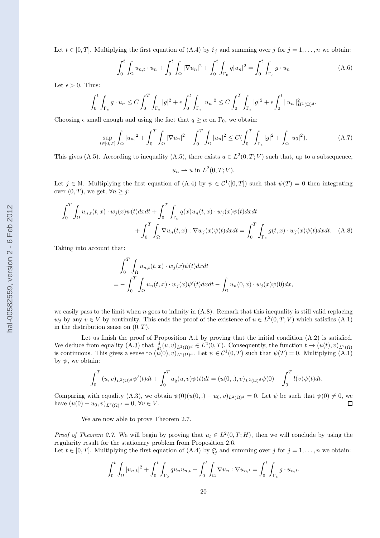Let  $t \in [0, T]$ . Multiplying the first equation of  $(A.4)$  by  $\xi_j$  and summing over j for  $j = 1, ..., n$  we obtain:

$$
\int_0^t \int_{\Omega} u_{n,t} \cdot u_n + \int_0^t \int_{\Omega} |\nabla u_n|^2 + \int_0^t \int_{\Gamma_0} q |u_n|^2 = \int_0^t \int_{\Gamma_e} g \cdot u_n \tag{A.6}
$$

Let  $\epsilon > 0$ . Thus:

$$
\int_0^t \int_{\Gamma_e} g \cdot u_n \le C \int_0^T \int_{\Gamma_e} |g|^2 + \epsilon \int_0^t \int_{\Gamma_e} |u_n|^2 \le C \int_0^T \int_{\Gamma_e} |g|^2 + \epsilon \int_0^t \|u_n\|_{H^1(\Omega)}^2.
$$

Choosing  $\epsilon$  small enough and using the fact that  $q \geq \alpha$  on  $\Gamma_0$ , we obtain:

$$
\sup_{t \in [0,T]} \int_{\Omega} |u_n|^2 + \int_0^T \int_{\Omega} |\nabla u_n|^2 + \int_0^T \int_{\Omega} |u_n|^2 \le C \left( \int_0^T \int_{\Gamma_e} |g|^2 + \int_{\Omega} |u_0|^2 \right). \tag{A.7}
$$

This gives (A.5). According to inequality (A.5), there exists  $u \in L^2(0,T;V)$  such that, up to a subsequence,

$$
u_n \rightharpoonup u \text{ in } L^2(0,T;V).
$$

Let  $j \in \mathbb{N}$ . Multiplying the first equation of  $(A.4)$  by  $\psi \in C^1([0,T])$  such that  $\psi(T) = 0$  then integrating over  $(0, T)$ , we get,  $\forall n \geq j$ :

$$
\int_0^T \int_{\Omega} u_{n,t}(t,x) \cdot w_j(x) \psi(t) dx dt + \int_0^T \int_{\Gamma_0} q(x) u_n(t,x) \cdot w_j(x) \psi(t) dx dt + \int_0^T \int_{\Omega} \nabla u_n(t,x) : \nabla w_j(x) \psi(t) dx dt = \int_0^T \int_{\Gamma_e} g(t,x) \cdot w_j(x) \psi(t) dx dt. \quad (A.8)
$$

Taking into account that:

$$
\int_0^T \int_{\Omega} u_{n,t}(t,x) \cdot w_j(x) \psi(t) dx dt
$$
  
= 
$$
- \int_0^T \int_{\Omega} u_n(t,x) \cdot w_j(x) \psi'(t) dx dt - \int_{\Omega} u_n(0,x) \cdot w_j(x) \psi(0) dx,
$$

we easily pass to the limit when  $n$  goes to infinity in  $(A.8)$ . Remark that this inequality is still valid replacing  $w_j$  by any  $v \in V$  by continuity. This ends the proof of the existence of  $u \in L^2(0,T;V)$  which satisfies  $(A.1)$ in the distribution sense on  $(0, T)$ .

Let us finish the proof of Proposition A.1 by proving that the initial condition  $(A.2)$  is satisfied. We deduce from equality (A.3) that  $\frac{d}{dt}(u, v)_{L^2(\Omega)^d} \in L^2(0, T)$ . Consequently, the function  $t \to (u(t), v)_{L^2(\Omega)}$ is continuous. This gives a sense to  $(u(0), v)_{L^2(\Omega)^d}$ . Let  $\psi \in C^1(0, T)$  such that  $\psi(T) = 0$ . Multiplying  $(A.1)$ by  $\psi$ , we obtain:

$$
-\int_0^T (u,v)_{L^2(\Omega)^d} \psi'(t)dt + \int_0^T a_q(u,v)\psi(t)dt = (u(0,.),v)_{L^2(\Omega)^d} \psi(0) + \int_0^T l(v)\psi(t)dt.
$$

Comparing with equality (A.3), we obtain  $\psi(0)(u(0,.) - u_0, v)_{L^2(\Omega)^d} = 0$ . Let  $\psi$  be such that  $\psi(0) \neq 0$ , we have  $(u(0) - u_0, v)_{L^2(\Omega)^d} = 0$ .  $\forall v \in V$ . have  $(u(0) - u_0, v)_{L^2(\Omega)^d} = 0, \forall v \in V$ .

We are now able to prove Theorem 2.7.

*Proof of Theorem 2.7.* We will begin by proving that  $u_t \in L^2(0,T;H)$ , then we will conclude by using the regularity result for the stationary problem from Proposition 2.6. Let  $t \in [0, T]$ . Multiplying the first equation of (A.4) by  $\xi'_j$  and summing over j for  $j = 1, ..., n$  we obtain:

$$
\int_0^t \int_{\Omega} |u_{n,t}|^2 + \int_0^t \int_{\Gamma_0} q u_n u_{n,t} + \int_0^t \int_{\Omega} \nabla u_n : \nabla u_{n,t} = \int_0^t \int_{\Gamma_e} g \cdot u_{n,t}.
$$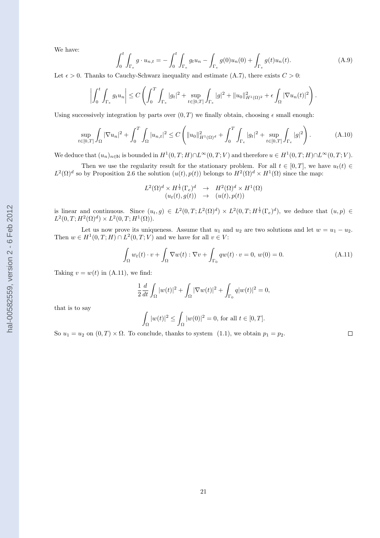We have:

$$
\int_0^t \int_{\Gamma_e} g \cdot u_{n,t} = -\int_0^t \int_{\Gamma_e} g_t u_n - \int_{\Gamma_e} g(0) u_n(0) + \int_{\Gamma_e} g(t) u_n(t).
$$
 (A.9)

Let  $\epsilon > 0$ . Thanks to Cauchy-Schwarz inequality and estimate (A.7), there exists  $C > 0$ :

$$
\left|\int_0^t \int_{\Gamma_e} g_t u_n\right| \leq C \left(\int_0^T \int_{\Gamma_e} |g_t|^2 + \sup_{t \in [0,T]} \int_{\Gamma_e} |g|^2 + \|u_0\|_{H^1(\Omega)^2}^2 + \epsilon \int_{\Omega} |\nabla u_n(t)|^2\right).
$$

Using successively integration by parts over  $(0, T)$  we finally obtain, choosing  $\epsilon$  small enough:

$$
\sup_{t \in [0,T]} \int_{\Omega} |\nabla u_n|^2 + \int_0^T \int_{\Omega} |u_{n,t}|^2 \le C \left( \|u_0\|_{H^1(\Omega)^d}^2 + \int_0^T \int_{\Gamma_e} |g_t|^2 + \sup_{t \in [0,T]} \int_{\Gamma_e} |g|^2 \right). \tag{A.10}
$$

We deduce that  $(u_n)_{n\in\mathbb{N}}$  is bounded in  $H^1(0,T;H)\cap L^{\infty}(0,T;V)$  and therefore  $u\in H^1(0,T;H)\cap L^{\infty}(0,T;V)$ .

Then we use the regularity result for the stationary problem. For all  $t \in [0, T]$ , we have  $u_t(t) \in$  $L^2(\Omega)^d$  so by Proposition 2.6 the solution  $(u(t), p(t))$  belongs to  $H^2(\Omega)^d \times H^1(\Omega)$  since the map:

$$
L^2(\Omega)^d \times H^{\frac{1}{2}}(\Gamma_e)^d \longrightarrow H^2(\Omega)^d \times H^1(\Omega)
$$
  

$$
(u_t(t), g(t)) \longrightarrow (u(t), p(t))
$$

is linear and continuous. Since  $(u_t, g) \in L^2(0,T; L^2(\Omega)^d) \times L^2(0,T; H^{\frac{1}{2}}(\Gamma_e)^d)$ , we deduce that  $(u, p) \in L^2(0,T; L^2(\Omega)^d)$  $L^2(0,T;H^2(\Omega)^d) \times L^2(0,T;H^1(\Omega)).$ 

Let us now prove its uniqueness. Assume that  $u_1$  and  $u_2$  are two solutions and let  $w = u_1 - u_2$ . Then  $w \in H^1(0,T;H) \cap L^2(0,T;V)$  and we have for all  $v \in V$ :

$$
\int_{\Omega} w_t(t) \cdot v + \int_{\Omega} \nabla w(t) : \nabla v + \int_{\Gamma_0} q w(t) \cdot v = 0, \ w(0) = 0.
$$
\n(A.11)

 $\Box$ 

Taking  $v = w(t)$  in (A.11), we find:

$$
\frac{1}{2}\frac{d}{dt}\int_{\Omega}|w(t)|^{2}+\int_{\Omega}|\nabla w(t)|^{2}+\int_{\Gamma_{0}}q|w(t)|^{2}=0,
$$

that is to say

$$
\int_{\Omega} |w(t)|^2 \le \int_{\Omega} |w(0)|^2 = 0, \, \text{for all } t \in [0, T].
$$

So  $u_1 = u_2$  on  $(0, T) \times \Omega$ . To conclude, thanks to system  $(1.1)$ , we obtain  $p_1 = p_2$ .

hal-00582559, version 2 - 6 Feb 2012 hal-00582559, version 2 - 6 Feb 2012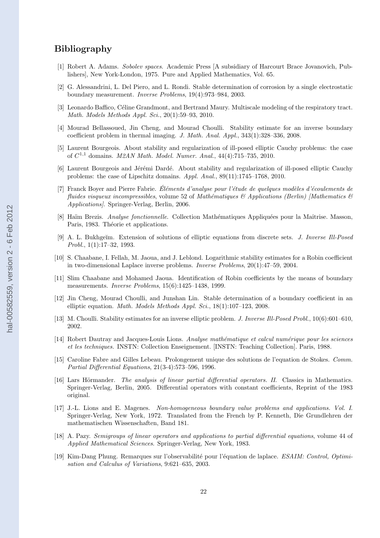# Bibliography

- [1] Robert A. Adams. Sobolev spaces. Academic Press [A subsidiary of Harcourt Brace Jovanovich, Publishers], New York-London, 1975. Pure and Applied Mathematics, Vol. 65.
- [2] G. Alessandrini, L. Del Piero, and L. Rondi. Stable determination of corrosion by a single electrostatic boundary measurement. Inverse Problems, 19(4):973–984, 2003.
- [3] Leonardo Baffico, Céline Grandmont, and Bertrand Maury. Multiscale modeling of the respiratory tract. Math. Models Methods Appl. Sci., 20(1):59–93, 2010.
- [4] Mourad Bellassoued, Jin Cheng, and Mourad Choulli. Stability estimate for an inverse boundary coefficient problem in thermal imaging. J. Math. Anal. Appl., 343(1):328–336, 2008.
- [5] Laurent Bourgeois. About stability and regularization of ill-posed elliptic Cauchy problems: the case of  $C^{1,1}$  domains. *M2AN Math. Model. Numer. Anal.*,  $44(4)$ :715-735, 2010.
- [6] Laurent Bourgeois and Jérémi Dardé. About stability and regularization of ill-posed elliptic Cauchy problems: the case of Lipschitz domains. Appl. Anal., 89(11):1745–1768, 2010.
- [7] Franck Boyer and Pierre Fabrie. Eléments d'analyse pour l'étude de quelques modèles d'écoulements de fluides visqueux incompressibles, volume 52 of Mathématiques & Applications (Berlin) [Mathematics  $\mathscr B$ Applications]. Springer-Verlag, Berlin, 2006.
- [8] Haïm Brezis. Analyse fonctionnelle. Collection Mathématiques Appliquées pour la Maîtrise. Masson, Paris, 1983. Théorie et applications.
- [9] A. L. Bukhgeĭm. Extension of solutions of elliptic equations from discrete sets. *J. Inverse Ill-Posed* Probl., 1(1):17–32, 1993.
- [10] S. Chaabane, I. Fellah, M. Jaoua, and J. Leblond. Logarithmic stability estimates for a Robin coefficient in two-dimensional Laplace inverse problems. Inverse Problems, 20(1):47–59, 2004.
- [11] Slim Chaabane and Mohamed Jaoua. Identification of Robin coefficients by the means of boundary measurements. Inverse Problems, 15(6):1425–1438, 1999.
- [12] Jin Cheng, Mourad Choulli, and Junshan Lin. Stable determination of a boundary coefficient in an elliptic equation. Math. Models Methods Appl. Sci., 18(1):107–123, 2008.
- [13] M. Choulli. Stability estimates for an inverse elliptic problem. J. Inverse Ill-Posed Probl., 10(6):601–610, 2002.
- [14] Robert Dautray and Jacques-Louis Lions. Analyse mathématique et calcul numérique pour les sciences et les techniques. INSTN: Collection Enseignement. [INSTN: Teaching Collection]. Paris, 1988.
- [15] Caroline Fabre and Gilles Lebeau. Prolongement unique des solutions de l'equation de Stokes. Comm. Partial Differential Equations, 21(3-4):573–596, 1996.
- [16] Lars Hörmander. The analysis of linear partial differential operators. II. Classics in Mathematics. Springer-Verlag, Berlin, 2005. Differential operators with constant coefficients, Reprint of the 1983 original.
- [17] J.-L. Lions and E. Magenes. Non-homogeneous boundary value problems and applications. Vol. I. Springer-Verlag, New York, 1972. Translated from the French by P. Kenneth, Die Grundlehren der mathematischen Wissenschaften, Band 181.
- [18] A. Pazy. Semigroups of linear operators and applications to partial differential equations, volume 44 of Applied Mathematical Sciences. Springer-Verlag, New York, 1983.
- [19] Kim-Dang Phung. Remarques sur l'observabilité pour l'équation de laplace. ESAIM: Control, Optimisation and Calculus of Variations, 9:621–635, 2003.